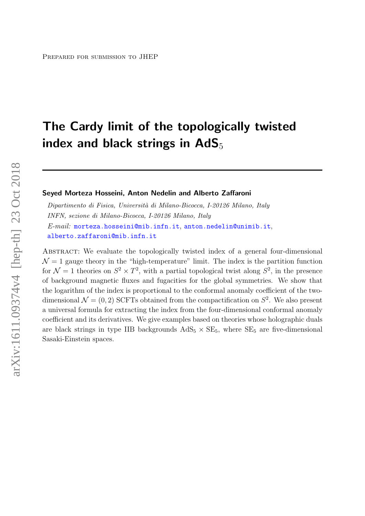# The Cardy limit of the topologically twisted index and black strings in  $AdS_5$

#### Seyed Morteza Hosseini, Anton Nedelin and Alberto Zaffaroni

Dipartimento di Fisica, Università di Milano-Bicocca, I-20126 Milano, Italy INFN, sezione di Milano-Bicocca, I-20126 Milano, Italy E-mail: [morteza.hosseini@mib.infn.it](mailto:morteza.hosseini@mib.infn.it), [anton.nedelin@unimib.it](mailto:anton.nedelin@unimib.it), [alberto.zaffaroni@mib.infn.it](mailto:alberto.zaffaroni@mib.infn.it)

ABSTRACT: We evaluate the topologically twisted index of a general four-dimensional  $\mathcal{N} = 1$  gauge theory in the "high-temperature" limit. The index is the partition function for  $\mathcal{N}=1$  theories on  $S^2 \times T^2$ , with a partial topological twist along  $S^2$ , in the presence of background magnetic fluxes and fugacities for the global symmetries. We show that the logarithm of the index is proportional to the conformal anomaly coefficient of the twodimensional  $\mathcal{N} = (0, 2)$  SCFTs obtained from the compactification on  $S^2$ . We also present a universal formula for extracting the index from the four-dimensional conformal anomaly coefficient and its derivatives. We give examples based on theories whose holographic duals are black strings in type IIB backgrounds  $AdS_5 \times SE_5$ , where  $SE_5$  are five-dimensional Sasaki-Einstein spaces.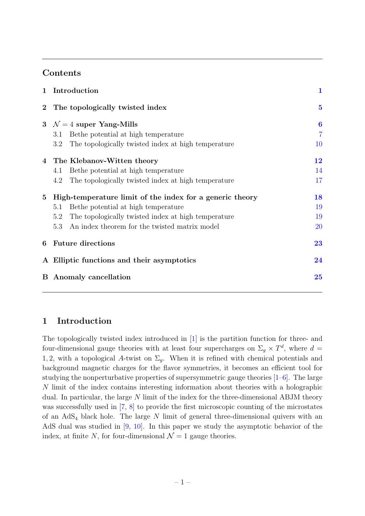# Contents

| 1              | Introduction                                               | $\mathbf 1$    |
|----------------|------------------------------------------------------------|----------------|
| $2^{-}$        | The topologically twisted index                            | $\bf{5}$       |
| 3 <sup>1</sup> | $\mathcal{N}=4$ super Yang-Mills                           | $\bf{6}$       |
|                | Be the potential at high temperature<br>3.1                | $\overline{7}$ |
|                | The topologically twisted index at high temperature<br>3.2 | 10             |
|                | 4 The Klebanov-Witten theory                               | 12             |
|                | Be the potential at high temperature<br>4.1                | 14             |
|                | The topologically twisted index at high temperature<br>4.2 | 17             |
| $\bf{5}$       | High-temperature limit of the index for a generic theory   | 18             |
|                | Be the potential at high temperature<br>5.1                | 19             |
|                | The topologically twisted index at high temperature<br>5.2 | 19             |
|                | An index theorem for the twisted matrix model<br>5.3       | 20             |
| 6              | <b>Future directions</b>                                   | 23             |
|                | A Elliptic functions and their asymptotics                 | 24             |
| B.             | Anomaly cancellation                                       | 25             |
|                |                                                            |                |

# <span id="page-1-0"></span>1 Introduction

The topologically twisted index introduced in [\[1\]](#page-26-0) is the partition function for three- and four-dimensional gauge theories with at least four supercharges on  $\Sigma_g \times T^d$ , where  $d =$ 1, 2, with a topological A-twist on  $\Sigma_q$ . When it is refined with chemical potentials and background magnetic charges for the flavor symmetries, it becomes an efficient tool for studying the nonperturbative properties of supersymmetric gauge theories [\[1–](#page-26-0)[6\]](#page-26-1). The large N limit of the index contains interesting information about theories with a holographic dual. In particular, the large N limit of the index for the three-dimensional ABJM theory was successfully used in [\[7,](#page-27-0) [8\]](#page-27-1) to provide the first microscopic counting of the microstates of an  $AdS<sub>4</sub>$  black hole. The large N limit of general three-dimensional quivers with an AdS dual was studied in [\[9,](#page-27-2) [10\]](#page-27-3). In this paper we study the asymptotic behavior of the index, at finite N, for four-dimensional  $\mathcal{N}=1$  gauge theories.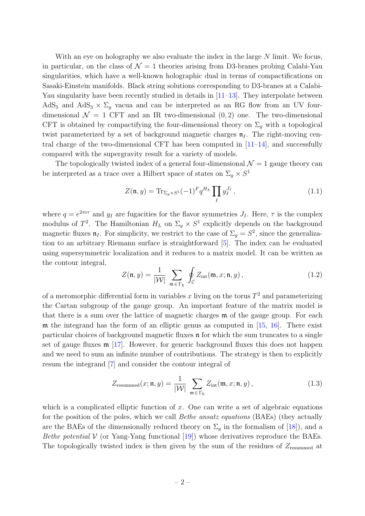With an eye on holography we also evaluate the index in the large  $N$  limit. We focus, in particular, on the class of  $\mathcal{N}=1$  theories arising from D3-branes probing Calabi-Yau singularities, which have a well-known holographic dual in terms of compactifications on Sasaki-Einstein manifolds. Black string solutions corresponding to D3-branes at a Calabi-Yau singularity have been recently studied in details in [\[11–](#page-27-4)[13\]](#page-27-5). They interpolate between AdS<sub>5</sub> and AdS<sub>3</sub>  $\times$   $\Sigma_q$  vacua and can be interpreted as an RG flow from an UV fourdimensional  $\mathcal{N} = 1$  CFT and an IR two-dimensional  $(0, 2)$  one. The two-dimensional CFT is obtained by compactifying the four-dimensional theory on  $\Sigma_g$  with a topological twist parameterized by a set of background magnetic charges  $\mathfrak{n}_I$ . The right-moving central charge of the two-dimensional CFT has been computed in  $[11-14]$  $[11-14]$ , and successfully compared with the supergravity result for a variety of models.

The topologically twisted index of a general four-dimensional  $\mathcal{N}=1$  gauge theory can be interpreted as a trace over a Hilbert space of states on  $\Sigma_g \times S^1$ 

$$
Z(\mathfrak{n}, y) = \text{Tr}_{\Sigma_g \times S^1} (-1)^F q^{H_L} \prod_I y_I^{J_I}, \qquad (1.1)
$$

where  $q = e^{2\pi i \tau}$  and  $y_I$  are fugacities for the flavor symmetries  $J_I$ . Here,  $\tau$  is the complex modulus of  $T^2$ . The Hamiltonian  $H_L$  on  $\Sigma_g \times S^1$  explicitly depends on the background magnetic fluxes  $\mathfrak{n}_I$ . For simplicity, we restrict to the case of  $\Sigma_g = S^2$ , since the generalization to an arbitrary Riemann surface is straightforward [\[5\]](#page-26-2). The index can be evaluated using supersymmetric localization and it reduces to a matrix model. It can be written as the contour integral,

$$
Z(\mathfrak{n}, y) = \frac{1}{|\mathcal{W}|} \sum_{\mathfrak{m} \in \Gamma_{\mathfrak{h}}} \oint_{\mathcal{C}} Z_{\text{int}}(\mathfrak{m}, x; \mathfrak{n}, y), \qquad (1.2)
$$

of a meromorphic differential form in variables x living on the torus  $T^2$  and parameterizing the Cartan subgroup of the gauge group. An important feature of the matrix model is that there is a sum over the lattice of magnetic charges m of the gauge group. For each  $m$  the integrand has the form of an elliptic genus as computed in  $[15, 16]$  $[15, 16]$ . There exist particular choices of background magnetic fluxes n for which the sum truncates to a single set of gauge fluxes m [\[17\]](#page-27-9). However, for generic background fluxes this does not happen and we need to sum an infinite number of contributions. The strategy is then to explicitly resum the integrand [\[7\]](#page-27-0) and consider the contour integral of

$$
Z_{\text{resummed}}(x; \mathfrak{n}, y) = \frac{1}{|\mathcal{W}|} \sum_{\mathfrak{m} \in \Gamma_{\mathfrak{h}}} Z_{\text{int}}(\mathfrak{m}, x; \mathfrak{n}, y), \qquad (1.3)
$$

which is a complicated elliptic function of x. One can write a set of algebraic equations for the position of the poles, which we call *Bethe ansatz equations* (BAEs) (they actually are the BAEs of the dimensionally reduced theory on  $\Sigma_q$  in the formalism of [\[18\]](#page-27-10)), and a *Bethe potential*  $V$  (or Yang-Yang functional [\[19\]](#page-27-11)) whose derivatives reproduce the BAEs. The topologically twisted index is then given by the sum of the residues of  $Z_{\text{resummed}}$  at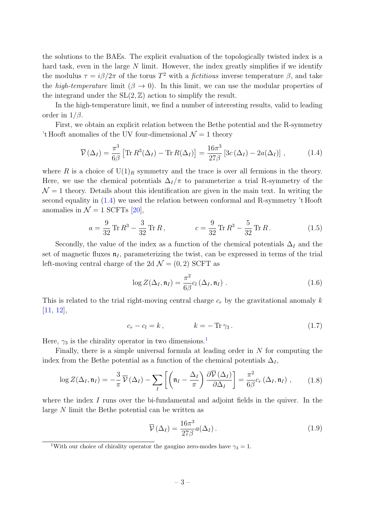the solutions to the BAEs. The explicit evaluation of the topologically twisted index is a hard task, even in the large  $N$  limit. However, the index greatly simplifies if we identify the modulus  $\tau = i\beta/2\pi$  of the torus  $T^2$  with a *fictitious* inverse temperature  $\beta$ , and take the high-temperature limit ( $\beta \rightarrow 0$ ). In this limit, we can use the modular properties of the integrand under the  $SL(2, \mathbb{Z})$  action to simplify the result.

In the high-temperature limit, we find a number of interesting results, valid to leading order in  $1/\beta$ .

First, we obtain an explicit relation between the Bethe potential and the R-symmetry 't Hooft anomalies of the UV four-dimensional  $\mathcal{N}=1$  theory

<span id="page-3-0"></span>
$$
\overline{\mathcal{V}}(\Delta_I) = \frac{\pi^3}{6\beta} \left[ \text{Tr} \, R^3(\Delta_I) - \text{Tr} \, R(\Delta_I) \right] = \frac{16\pi^3}{27\beta} \left[ 3c \left( \Delta_I \right) - 2a(\Delta_I) \right] \,, \tag{1.4}
$$

where R is a choice of  $U(1)<sub>R</sub>$  symmetry and the trace is over all fermions in the theory. Here, we use the chemical potentials  $\Delta_I/\pi$  to parameterize a trial R-symmetry of the  $\mathcal{N} = 1$  theory. Details about this identification are given in the main text. In writing the second equality in [\(1.4\)](#page-3-0) we used the relation between conformal and R-symmetry 't Hooft anomalies in  $\mathcal{N} = 1$  SCFTs [\[20\]](#page-27-12),

<span id="page-3-5"></span>
$$
a = \frac{9}{32} \text{Tr} R^3 - \frac{3}{32} \text{Tr} R, \qquad c = \frac{9}{32} \text{Tr} R^3 - \frac{5}{32} \text{Tr} R. \qquad (1.5)
$$

Secondly, the value of the index as a function of the chemical potentials  $\Delta_I$  and the set of magnetic fluxes  $\mathfrak{n}_I$ , parameterizing the twist, can be expressed in terms of the trial left-moving central charge of the 2d  $\mathcal{N} = (0, 2)$  SCFT as

<span id="page-3-3"></span>
$$
\log Z(\Delta_I, \mathfrak{n}_I) = \frac{\pi^2}{6\beta} c_l(\Delta_I, \mathfrak{n}_I) \ . \tag{1.6}
$$

This is related to the trial right-moving central charge  $c_r$  by the gravitational anomaly k [\[11,](#page-27-4) [12\]](#page-27-13),

$$
c_r - c_l = k, \qquad k = -\operatorname{Tr} \gamma_3. \qquad (1.7)
$$

Here,  $\gamma_3$  is the chirality operator in two dimensions.<sup>[1](#page-3-1)</sup>

Finally, there is a simple universal formula at leading order in  $N$  for computing the index from the Bethe potential as a function of the chemical potentials  $\Delta_I$ ,

<span id="page-3-2"></span>
$$
\log Z(\Delta_I, \mathfrak{n}_I) = -\frac{3}{\pi} \overline{\mathcal{V}}(\Delta_I) - \sum_I \left[ \left( \mathfrak{n}_I - \frac{\Delta_I}{\pi} \right) \frac{\partial \overline{\mathcal{V}}(\Delta_I)}{\partial \Delta_I} \right] = \frac{\pi^2}{6\beta} c_r \left( \Delta_I, \mathfrak{n}_I \right), \quad (1.8)
$$

where the index  $I$  runs over the bi-fundamental and adjoint fields in the quiver. In the large N limit the Bethe potential can be written as

<span id="page-3-4"></span>
$$
\overline{\mathcal{V}}\left(\Delta_{I}\right) = \frac{16\pi^{3}}{27\beta}a(\Delta_{I}).
$$
\n(1.9)

<span id="page-3-1"></span><sup>&</sup>lt;sup>1</sup>With our choice of chirality operator the gaugino zero-modes have  $\gamma_3 = 1$ .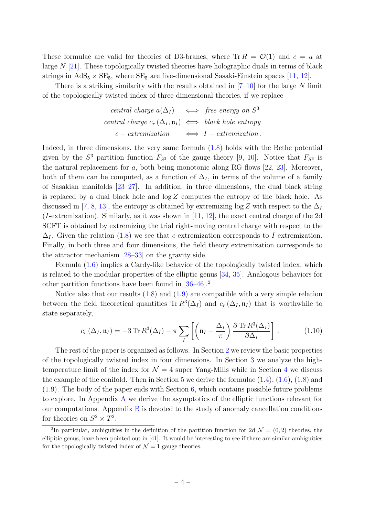These formulae are valid for theories of D3-branes, where  $\text{Tr } R = \mathcal{O}(1)$  and  $c = a$  at large N [\[21\]](#page-27-14). These topologically twisted theories have holographic duals in terms of black strings in  $AdS_5 \times SE_5$ , where  $SE_5$  are five-dimensional Sasaki-Einstein spaces [\[11,](#page-27-4) [12\]](#page-27-13).

There is a striking similarity with the results obtained in  $[7-10]$  $[7-10]$  for the large N limit of the topologically twisted index of three-dimensional theories, if we replace

$$
central \ charge \ a(\Delta_I) \iff free \ energy \ on \ S^3
$$
\n
$$
central \ charge \ c_r(\Delta_I, \mathfrak{n}_I) \iff black \ hole \ entropy
$$
\n
$$
c-extremization \iff I-extremization.
$$

Indeed, in three dimensions, the very same formula [\(1.8\)](#page-3-2) holds with the Bethe potential given by the  $S^3$  partition function  $F_{S^3}$  of the gauge theory [\[9,](#page-27-2) [10\]](#page-27-3). Notice that  $F_{S^3}$  is the natural replacement for  $a$ , both being monotonic along RG flows  $[22, 23]$  $[22, 23]$ . Moreover, both of them can be computed, as a function of  $\Delta_I$ , in terms of the volume of a family of Sasakian manifolds [\[23](#page-27-16)[–27\]](#page-28-0). In addition, in three dimensions, the dual black string is replaced by a dual black hole and  $\log Z$  computes the entropy of the black hole. As discussed in [\[7,](#page-27-0) [8,](#page-27-1) [13\]](#page-27-5), the entropy is obtained by extremizing log Z with respect to the  $\Delta_I$ (*I*-extremization). Similarly, as it was shown in  $[11, 12]$  $[11, 12]$ , the exact central charge of the 2d SCFT is obtained by extremizing the trial right-moving central charge with respect to the  $\Delta_I$ . Given the relation [\(1.8\)](#page-3-2) we see that c-extremization corresponds to I-extremization. Finally, in both three and four dimensions, the field theory extremization corresponds to the attractor mechanism [\[28–](#page-28-1)[33\]](#page-28-2) on the gravity side.

Formula [\(1.6\)](#page-3-3) implies a Cardy-like behavior of the topologically twisted index, which is related to the modular properties of the elliptic genus [\[34,](#page-28-3) [35\]](#page-28-4). Analogous behaviors for other partition functions have been found in [\[36–](#page-28-5)[46\]](#page-29-0).[2](#page-4-0)

Notice also that our results  $(1.8)$  and  $(1.9)$  are compatible with a very simple relation between the field theoretical quantities Tr  $R^3(\Delta_I)$  and  $c_r(\Delta_I, \mathfrak{n}_I)$  that is worthwhile to state separately,

$$
c_r\left(\Delta_I, \mathfrak{n}_I\right) = -3 \operatorname{Tr} R^3(\Delta_I) - \pi \sum_I \left[ \left(\mathfrak{n}_I - \frac{\Delta_I}{\pi}\right) \frac{\partial \operatorname{Tr} R^3(\Delta_I)}{\partial \Delta_I} \right]. \tag{1.10}
$$

The rest of the paper is organized as follows. In Section [2](#page-5-0) we review the basic properties of the topologically twisted index in four dimensions. In Section [3](#page-6-0) we analyze the hightemperature limit of the index for  $\mathcal{N} = 4$  $\mathcal{N} = 4$  super Yang-Mills while in Section 4 we discuss the example of the conifold. Then in Section  $5$  we derive the formulae  $(1.4)$ ,  $(1.6)$ ,  $(1.8)$  and [\(1.9\)](#page-3-4). The body of the paper ends with Section [6,](#page-23-0) which contains possible future problems to explore. In Appendix [A](#page-24-0) we derive the asymptotics of the elliptic functions relevant for our computations. Appendix  $\overline{B}$  $\overline{B}$  $\overline{B}$  is devoted to the study of anomaly cancellation conditions for theories on  $S^2 \times T^2$ .

<span id="page-4-0"></span><sup>&</sup>lt;sup>2</sup>In particular, ambiguities in the definition of the partition function for 2d  $\mathcal{N} = (0, 2)$  theories, the ellipitic genus, have been pointed out in  $[41]$ . It would be interesting to see if there are similar ambiguities for the topologically twisted index of  $\mathcal{N}=1$  gauge theories.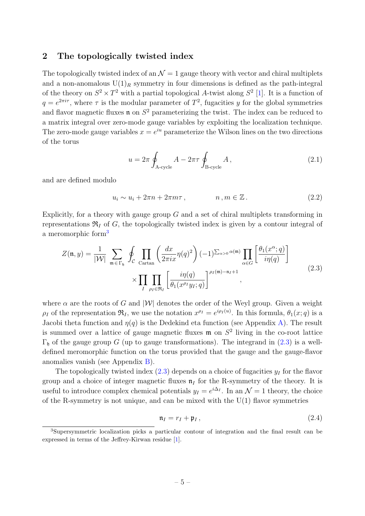## <span id="page-5-0"></span>2 The topologically twisted index

The topologically twisted index of an  $\mathcal{N} = 1$  gauge theory with vector and chiral multiplets and a non-anomalous  $U(1)<sub>R</sub>$  symmetry in four dimensions is defined as the path-integral of the theory on  $S^2 \times T^2$  with a partial topological A-twist along  $S^2$  [\[1\]](#page-26-0). It is a function of  $q = e^{2\pi i \tau}$ , where  $\tau$  is the modular parameter of  $T^2$ , fugacities y for the global symmetries and flavor magnetic fluxes **n** on  $S^2$  parameterizing the twist. The index can be reduced to a matrix integral over zero-mode gauge variables by exploiting the localization technique. The zero-mode gauge variables  $x = e^{iu}$  parameterize the Wilson lines on the two directions of the torus

$$
u = 2\pi \oint_{\text{A-cycle}} A - 2\pi \tau \oint_{\text{B-cycle}} A , \qquad (2.1)
$$

and are defined modulo

$$
u_i \sim u_i + 2\pi n + 2\pi m\tau, \qquad n, m \in \mathbb{Z}. \tag{2.2}
$$

Explicitly, for a theory with gauge group  $G$  and a set of chiral multiplets transforming in representations  $\mathfrak{R}_I$  of G, the topologically twisted index is given by a contour integral of a meromorphic form<sup>[3](#page-5-1)</sup>

<span id="page-5-2"></span>
$$
Z(\mathfrak{n}, y) = \frac{1}{|\mathcal{W}|} \sum_{\mathfrak{m} \in \Gamma_{\mathfrak{h}}} \oint_{\mathcal{C}} \prod_{\text{Cartan}} \left( \frac{dx}{2\pi i x} \eta(q)^2 \right) (-1)^{\sum_{\alpha > 0} \alpha(\mathfrak{m})} \prod_{\alpha \in G} \left[ \frac{\theta_1(x^{\alpha}; q)}{i \eta(q)} \right] \times \prod_{I} \prod_{\rho_I \in \mathfrak{R}_I} \left[ \frac{i \eta(q)}{\theta_1(x^{\rho_I} y_I; q)} \right]^{\rho_I(\mathfrak{m}) - \mathfrak{n}_I + 1}, \tag{2.3}
$$

where  $\alpha$  are the roots of G and  $|\mathcal{W}|$  denotes the order of the Weyl group. Given a weight  $\rho_I$  of the representation  $\mathfrak{R}_I$ , we use the notation  $x^{\rho_I} = e^{i\rho_I(u)}$ . In this formula,  $\theta_1(x; q)$  is a Jacobi theta function and  $\eta(q)$  is the Dedekind eta function (see Appendix [A\)](#page-24-0). The result is summed over a lattice of gauge magnetic fluxes  $\mathfrak{m}$  on  $S^2$  living in the co-root lattice  $\Gamma_{\rm h}$  of the gauge group G (up to gauge transformations). The integrand in [\(2.3\)](#page-5-2) is a welldefined meromorphic function on the torus provided that the gauge and the gauge-flavor anomalies vanish (see Appendix [B\)](#page-25-0).

The topologically twisted index  $(2.3)$  depends on a choice of fugacities  $y_I$  for the flavor group and a choice of integer magnetic fluxes  $\mathfrak{n}_I$  for the R-symmetry of the theory. It is useful to introduce complex chemical potentials  $y_I = e^{i\Delta_I}$ . In an  $\mathcal{N} = 1$  theory, the choice of the R-symmetry is not unique, and can be mixed with the  $U(1)$  flavor symmetries

$$
\mathfrak{n}_I = r_I + \mathfrak{p}_I, \tag{2.4}
$$

<span id="page-5-1"></span><sup>3</sup>Supersymmetric localization picks a particular contour of integration and the final result can be expressed in terms of the Jeffrey-Kirwan residue [\[1\]](#page-26-0).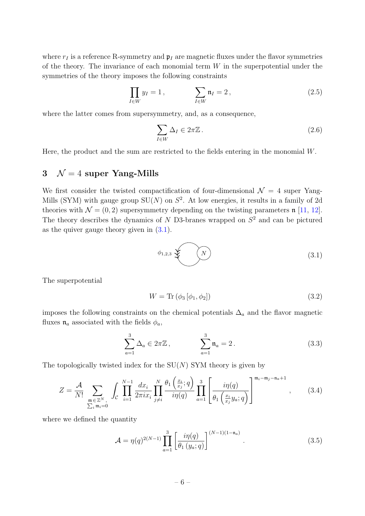where  $r_I$  is a reference R-symmetry and  $\mathfrak{p}_I$  are magnetic fluxes under the flavor symmetries of the theory. The invariance of each monomial term  $W$  in the superpotential under the symmetries of the theory imposes the following constraints

<span id="page-6-4"></span>
$$
\prod_{I \in W} y_I = 1, \qquad \qquad \sum_{I \in W} \mathfrak{n}_I = 2, \tag{2.5}
$$

where the latter comes from supersymmetry, and, as a consequence,

<span id="page-6-5"></span>
$$
\sum_{I \in W} \Delta_I \in 2\pi \mathbb{Z} \,. \tag{2.6}
$$

Here, the product and the sum are restricted to the fields entering in the monomial  $W$ .

# <span id="page-6-0"></span>3  $\mathcal{N} = 4$  super Yang-Mills

We first consider the twisted compactification of four-dimensional  $\mathcal{N} = 4$  super Yang-Mills (SYM) with gauge group  $SU(N)$  on  $S^2$ . At low energies, it results in a family of 2d theories with  $\mathcal{N} = (0, 2)$  supersymmetry depending on the twisting parameters n [\[11,](#page-27-4) [12\]](#page-27-13). The theory describes the dynamics of  $N$  D3-branes wrapped on  $S<sup>2</sup>$  and can be pictured as the quiver gauge theory given in [\(3.1\)](#page-6-1).

<span id="page-6-1"></span>
$$
\phi_{1,2,3} \left( \begin{array}{c} N \end{array} \right) \tag{3.1}
$$

The superpotential

$$
W = \text{Tr}\left(\phi_3\left[\phi_1, \phi_2\right]\right) \tag{3.2}
$$

imposes the following constraints on the chemical potentials  $\Delta_a$  and the flavor magnetic fluxes  $\mathfrak{n}_a$  associated with the fields  $\phi_a$ ,

<span id="page-6-2"></span>
$$
\sum_{a=1}^{3} \Delta_a \in 2\pi \mathbb{Z}, \qquad \sum_{a=1}^{3} \mathfrak{n}_a = 2. \qquad (3.3)
$$

The topologically twisted index for the  $SU(N)$  SYM theory is given by

$$
Z = \frac{\mathcal{A}}{N!} \sum_{\substack{\mathfrak{m} \in \mathbb{Z}^N, \\ \sum_i \mathfrak{m}_i = 0}} \int_{\mathcal{C}} \prod_{i=1}^{N-1} \frac{dx_i}{2\pi i x_i} \prod_{j \neq i}^N \frac{\theta_1\left(\frac{x_i}{x_j}; q\right)}{i\eta(q)} \prod_{a=1}^3 \left[ \frac{i\eta(q)}{\theta_1\left(\frac{x_i}{x_j} y_a; q\right)} \right]^{\mathfrak{m}_i - \mathfrak{m}_j - \mathfrak{n}_a + 1}, \quad (3.4)
$$

where we defined the quantity

<span id="page-6-3"></span>
$$
\mathcal{A} = \eta(q)^{2(N-1)} \prod_{a=1}^{3} \left[ \frac{i\eta(q)}{\theta_1(y_a;q)} \right]^{(N-1)(1-\mathfrak{n}_a)}.
$$
 (3.5)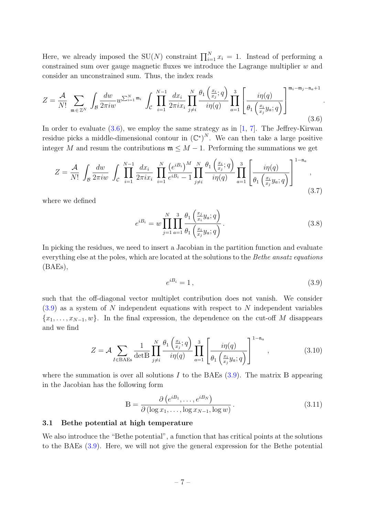Here, we already imposed the SU(N) constraint  $\prod_{i=1}^{N} x_i = 1$ . Instead of performing a constrained sum over gauge magnetic fluxes we introduce the Lagrange multiplier w and consider an unconstrained sum. Thus, the index reads

<span id="page-7-1"></span>
$$
Z = \frac{\mathcal{A}}{N!} \sum_{\mathfrak{m} \in \mathbb{Z}^N} \int_{\mathcal{B}} \frac{dw}{2\pi i w} w^{\sum_{i=1}^N \mathfrak{m}_i} \int_{\mathcal{C}} \prod_{i=1}^{N-1} \frac{dx_i}{2\pi i x_i} \prod_{j \neq i}^N \frac{\theta_1\left(\frac{x_i}{x_j}; q\right)}{i\eta(q)} \prod_{a=1}^3 \left[ \frac{i\eta(q)}{\theta_1\left(\frac{x_i}{x_j}y_a; q\right)} \right]^{\mathfrak{m}_i - \mathfrak{m}_j - \mathfrak{n}_a + 1} \tag{3.6}
$$

In order to evaluate  $(3.6)$ , we employ the same strategy as in [\[1,](#page-26-0) [7\]](#page-27-0). The Jeffrey-Kirwan residue picks a middle-dimensional contour in  $(\mathbb{C}^*)^N$ . We can then take a large positive integer M and resum the contributions  $\mathfrak{m} \leq M - 1$ . Performing the summations we get

$$
Z = \frac{\mathcal{A}}{N!} \int_{\mathcal{B}} \frac{dw}{2\pi i w} \int_{\mathcal{C}} \prod_{i=1}^{N-1} \frac{dx_i}{2\pi i x_i} \prod_{i=1}^{N} \frac{\left(e^{i B_i}\right)^M}{e^{i B_i} - 1} \prod_{j \neq i}^{N} \frac{\theta_1\left(\frac{x_i}{x_j}; q\right)}{i \eta(q)} \prod_{a=1}^{3} \left[ \frac{i \eta(q)}{\theta_1\left(\frac{x_i}{x_j} y_a; q\right)} \right]^{1-\mathfrak{n}_a},\tag{3.7}
$$

where we defined

$$
e^{iB_i} = w \prod_{j=1}^N \prod_{a=1}^3 \frac{\theta_1\left(\frac{x_j}{x_i} y_a; q\right)}{\theta_1\left(\frac{x_i}{x_j} y_a; q\right)}.
$$
\n(3.8)

In picking the residues, we need to insert a Jacobian in the partition function and evaluate everything else at the poles, which are located at the solutions to the *Bethe ansatz equations* (BAEs),

<span id="page-7-2"></span>
$$
e^{iB_i} = 1,\t\t(3.9)
$$

.

such that the off-diagonal vector multiplet contribution does not vanish. We consider  $(3.9)$  as a system of N independent equations with respect to N independent variables  ${x_1, \ldots, x_{N-1}, w}$ . In the final expression, the dependence on the cut-off M disappears and we find

<span id="page-7-3"></span>
$$
Z = \mathcal{A} \sum_{I \in BAEs} \frac{1}{\det B} \prod_{j \neq i}^{N} \frac{\theta_1\left(\frac{x_i}{x_j}; q\right)}{i\eta(q)} \prod_{a=1}^{3} \left[ \frac{i\eta(q)}{\theta_1\left(\frac{x_i}{x_j}y_a; q\right)} \right]^{1-\mathfrak{n}_a},\tag{3.10}
$$

where the summation is over all solutions I to the BAEs  $(3.9)$ . The matrix B appearing in the Jacobian has the following form

$$
\mathbb{B} = \frac{\partial \left(e^{iB_1}, \dots, e^{iB_N}\right)}{\partial \left(\log x_1, \dots, \log x_{N-1}, \log w\right)}.
$$
\n(3.11)

#### <span id="page-7-0"></span>3.1 Bethe potential at high temperature

We also introduce the "Bethe potential", a function that has critical points at the solutions to the BAEs [\(3.9\)](#page-7-2). Here, we will not give the general expression for the Bethe potential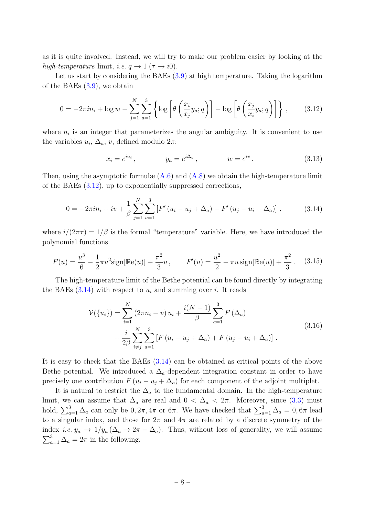as it is quite involved. Instead, we will try to make our problem easier by looking at the high-temperature limit, i.e.  $q \to 1$  ( $\tau \to i0$ ).

Let us start by considering the BAEs  $(3.9)$  at high temperature. Taking the logarithm of the BAEs  $(3.9)$ , we obtain

<span id="page-8-0"></span>
$$
0 = -2\pi i n_i + \log w - \sum_{j=1}^{N} \sum_{a=1}^{3} \left\{ \log \left[ \theta \left( \frac{x_i}{x_j} y_a; q \right) \right] - \log \left[ \theta \left( \frac{x_j}{x_i} y_a; q \right) \right] \right\}, \quad (3.12)
$$

where  $n_i$  is an integer that parameterizes the angular ambiguity. It is convenient to use the variables  $u_i$ ,  $\Delta_a$ , v, defined modulo  $2\pi$ :

$$
x_i = e^{iu_i}
$$
,  $y_a = e^{i\Delta_a}$ ,  $w = e^{iv}$ . (3.13)

Then, using the asymptotic formulæ  $(A.6)$  and  $(A.8)$  we obtain the high-temperature limit of the BAEs [\(3.12\)](#page-8-0), up to exponentially suppressed corrections,

<span id="page-8-1"></span>
$$
0 = -2\pi i n_i + iv + \frac{1}{\beta} \sum_{j=1}^{N} \sum_{a=1}^{3} \left[ F'(u_i - u_j + \Delta_a) - F'(u_j - u_i + \Delta_a) \right],
$$
 (3.14)

where  $i/(2\pi\tau) = 1/\beta$  is the formal "temperature" variable. Here, we have introduced the polynomial functions

<span id="page-8-3"></span>
$$
F(u) = \frac{u^3}{6} - \frac{1}{2}\pi u^2 \text{sign}[\mathbb{Re}(u)] + \frac{\pi^2}{3}u, \qquad F'(u) = \frac{u^2}{2} - \pi u \text{sign}[\mathbb{Re}(u)] + \frac{\pi^2}{3}.
$$
 (3.15)

The high-temperature limit of the Bethe potential can be found directly by integrating the BAEs  $(3.14)$  with respect to  $u_i$  and summing over i. It reads

<span id="page-8-2"></span>
$$
\mathcal{V}(\{u_i\}) = \sum_{i=1}^{N} (2\pi n_i - v) u_i + \frac{i(N-1)}{\beta} \sum_{a=1}^{3} F(\Delta_a) + \frac{i}{2\beta} \sum_{i \neq j}^{N} \sum_{a=1}^{3} [F(u_i - u_j + \Delta_a) + F(u_j - u_i + \Delta_a)].
$$
\n(3.16)

It is easy to check that the BAEs [\(3.14\)](#page-8-1) can be obtained as critical points of the above Bethe potential. We introduced a  $\Delta_{a}$ -dependent integration constant in order to have precisely one contribution  $F(u_i - u_j + \Delta_a)$  for each component of the adjoint multiplet.

It is natural to restrict the  $\Delta_a$  to the fundamental domain. In the high-temperature limit, we can assume that  $\Delta_a$  are real and  $0 < \Delta_a < 2\pi$ . Moreover, since [\(3.3\)](#page-6-2) must hold,  $\sum_{a=1}^{3} \Delta_a$  can only be  $0, 2\pi, 4\pi$  or  $6\pi$ . We have checked that  $\sum_{a=1}^{3} \Delta_a = 0, 6\pi$  lead to a singular index, and those for  $2\pi$  and  $4\pi$  are related by a discrete symmetry of the index *i.e.*  $y_a \to 1/y_a (\Delta_a \to 2\pi - \Delta_a)$ . Thus, without loss of generality, we will assume  $\sum_{a=1}^{3} \Delta_a = 2\pi$  in the following.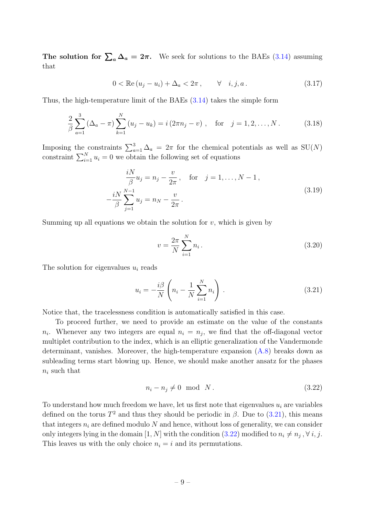The solution for  $\sum_a \Delta_a = 2\pi$ . We seek for solutions to the BAEs [\(3.14\)](#page-8-1) assuming that

$$
0 < \mathbb{Re}\left(u_j - u_i\right) + \Delta_a < 2\pi \,, \qquad \forall \quad i, j, a \,. \tag{3.17}
$$

Thus, the high-temperature limit of the BAEs [\(3.14\)](#page-8-1) takes the simple form

$$
\frac{2}{\beta} \sum_{a=1}^{3} (\Delta_a - \pi) \sum_{k=1}^{N} (u_j - u_k) = i (2\pi n_j - v) , \text{ for } j = 1, 2, ..., N. \qquad (3.18)
$$

Imposing the constraints  $\sum_{a=1}^{3} \Delta_a = 2\pi$  for the chemical potentials as well as SU(N) constraint  $\sum_{i=1}^{N} u_i = 0$  we obtain the following set of equations

$$
\frac{iN}{\beta}u_j = n_j - \frac{v}{2\pi}, \text{ for } j = 1, ..., N - 1,\n-\frac{iN}{\beta}\sum_{j=1}^{N-1}u_j = n_N - \frac{v}{2\pi}.
$$
\n(3.19)

Summing up all equations we obtain the solution for  $v$ , which is given by

<span id="page-9-2"></span>
$$
v = \frac{2\pi}{N} \sum_{i=1}^{N} n_i.
$$
\n(3.20)

The solution for eigenvalues  $u_i$  reads

<span id="page-9-0"></span>
$$
u_i = -\frac{i\beta}{N} \left( n_i - \frac{1}{N} \sum_{i=1}^N n_i \right). \tag{3.21}
$$

Notice that, the tracelessness condition is automatically satisfied in this case.

To proceed further, we need to provide an estimate on the value of the constants  $n_i$ . Whenever any two integers are equal  $n_i = n_j$ , we find that the off-diagonal vector multiplet contribution to the index, which is an elliptic generalization of the Vandermonde determinant, vanishes. Moreover, the high-temperature expansion [\(A.8\)](#page-25-2) breaks down as subleading terms start blowing up. Hence, we should make another ansatz for the phases  $n_i$  such that

<span id="page-9-1"></span>
$$
n_i - n_j \neq 0 \quad \text{mod} \quad N. \tag{3.22}
$$

To understand how much freedom we have, let us first note that eigenvalues  $u_i$  are variables defined on the torus  $T^2$  and thus they should be periodic in  $\beta$ . Due to [\(3.21\)](#page-9-0), this means that integers  $n_i$  are defined modulo N and hence, without loss of generality, we can consider only integers lying in the domain  $[1, N]$  with the condition  $(3.22)$  modified to  $n_i \neq n_j$ ,  $\forall i, j$ . This leaves us with the only choice  $n_i = i$  and its permutations.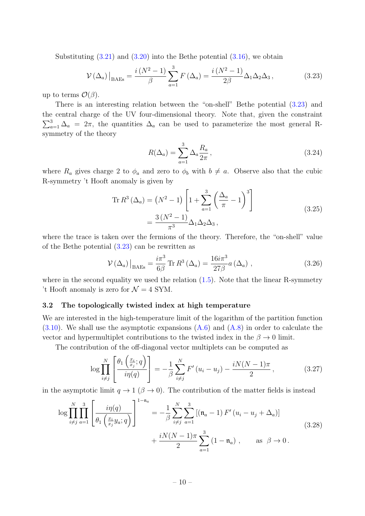Substituting  $(3.21)$  and  $(3.20)$  into the Bethe potential  $(3.16)$ , we obtain

<span id="page-10-1"></span>
$$
\mathcal{V}\left(\Delta_a\right)\big|_{\text{BAEs}} = \frac{i\left(N^2 - 1\right)}{\beta} \sum_{a=1}^3 F\left(\Delta_a\right) = \frac{i\left(N^2 - 1\right)}{2\beta} \Delta_1 \Delta_2 \Delta_3,\tag{3.23}
$$

up to terms  $\mathcal{O}(\beta)$ .

There is an interesting relation between the "on-shell" Bethe potential [\(3.23\)](#page-10-1) and the central charge of the UV four-dimensional theory. Note that, given the constraint  $\sum_{a=1}^{3} \Delta_a = 2\pi$ , the quantities  $\Delta_a$  can be used to parameterize the most general Rsymmetry of the theory

$$
R(\Delta_a) = \sum_{a=1}^{3} \Delta_a \frac{R_a}{2\pi},\qquad(3.24)
$$

where  $R_a$  gives charge 2 to  $\phi_a$  and zero to  $\phi_b$  with  $b \neq a$ . Observe also that the cubic R-symmetry 't Hooft anomaly is given by

Tr 
$$
R^3 (\Delta_a) = (N^2 - 1) \left[ 1 + \sum_{a=1}^3 \left( \frac{\Delta_a}{\pi} - 1 \right)^3 \right]
$$
  
=  $\frac{3(N^2 - 1)}{\pi^3} \Delta_1 \Delta_2 \Delta_3$ , (3.25)

where the trace is taken over the fermions of the theory. Therefore, the "on-shell" value of the Bethe potential [\(3.23\)](#page-10-1) can be rewritten as

$$
\mathcal{V}\left(\Delta_a\right)\big|_{\text{BAEs}} = \frac{i\pi^3}{6\beta} \text{Tr}\, R^3\left(\Delta_a\right) = \frac{16i\pi^3}{27\beta} a\left(\Delta_a\right) \,,\tag{3.26}
$$

where in the second equality we used the relation  $(1.5)$ . Note that the linear R-symmetry 't Hooft anomaly is zero for  $\mathcal{N}=4$  SYM.

#### <span id="page-10-0"></span>3.2 The topologically twisted index at high temperature

We are interested in the high-temperature limit of the logarithm of the partition function  $(3.10)$ . We shall use the asymptotic expansions  $(A.6)$  and  $(A.8)$  in order to calculate the vector and hypermultiplet contributions to the twisted index in the  $\beta \to 0$  limit.

The contribution of the off-diagonal vector multiplets can be computed as

$$
\log \prod_{i \neq j}^{N} \left[ \frac{\theta_1 \left( \frac{x_i}{x_j}; q \right)}{i \eta(q)} \right] = -\frac{1}{\beta} \sum_{i \neq j}^{N} F'(u_i - u_j) - \frac{i N (N-1) \pi}{2}, \qquad (3.27)
$$

in the asymptotic limit  $q \to 1$  ( $\beta \to 0$ ). The contribution of the matter fields is instead

$$
\log \prod_{i \neq j}^{N} \prod_{a=1}^{3} \left[ \frac{i\eta(q)}{\theta_1 \left( \frac{x_i}{x_j} y_a; q \right)} \right]^{1-\mathfrak{n}_a} = -\frac{1}{\beta} \sum_{i \neq j}^{N} \sum_{a=1}^{3} \left[ (\mathfrak{n}_a - 1) F'(u_i - u_j + \Delta_a) \right] + \frac{iN(N-1)\pi}{2} \sum_{a=1}^{3} (1 - \mathfrak{n}_a) , \quad \text{as } \beta \to 0.
$$
 (3.28)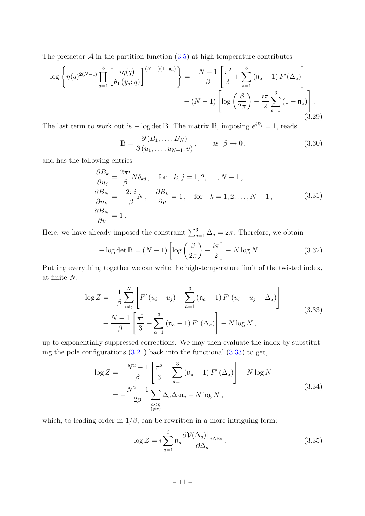The prefactor  $A$  in the partition function  $(3.5)$  at high temperature contributes

$$
\log \left\{ \eta(q)^{2(N-1)} \prod_{a=1}^{3} \left[ \frac{i\eta(q)}{\theta_1(y_a;q)} \right]^{(N-1)(1-\mathfrak{n}_a)} \right\} = -\frac{N-1}{\beta} \left[ \frac{\pi^2}{3} + \sum_{a=1}^{3} (\mathfrak{n}_a - 1) F'(\Delta_a) \right] - (N-1) \left[ \log \left( \frac{\beta}{2\pi} \right) - \frac{i\pi}{2} \sum_{a=1}^{3} (1 - \mathfrak{n}_a) \right].
$$
\n(3.29)

The last term to work out is  $-\log \det B$ . The matrix B, imposing  $e^{iB_i} = 1$ , reads

$$
\mathbb{B} = \frac{\partial (B_1, \dots, B_N)}{\partial (u_1, \dots, u_{N-1}, v)}, \quad \text{as } \beta \to 0,
$$
\n(3.30)

and has the following entries

$$
\frac{\partial B_k}{\partial u_j} = \frac{2\pi i}{\beta} N \delta_{kj}, \quad \text{for} \quad k, j = 1, 2, ..., N - 1,
$$
  
\n
$$
\frac{\partial B_N}{\partial u_k} = -\frac{2\pi i}{\beta} N, \quad \frac{\partial B_k}{\partial v} = 1, \quad \text{for} \quad k = 1, 2, ..., N - 1,
$$
  
\n
$$
\frac{\partial B_N}{\partial v} = 1.
$$
\n(3.31)

Here, we have already imposed the constraint  $\sum_{a=1}^{3} \Delta_a = 2\pi$ . Therefore, we obtain

$$
-\log \det \mathbb{B} = (N-1)\left[\log\left(\frac{\beta}{2\pi}\right) - \frac{i\pi}{2}\right] - N\log N. \tag{3.32}
$$

Putting everything together we can write the high-temperature limit of the twisted index, at finite  $N$ ,

<span id="page-11-0"></span>
$$
\log Z = -\frac{1}{\beta} \sum_{i \neq j}^{N} \left[ F'(u_i - u_j) + \sum_{a=1}^{3} (\mathfrak{n}_a - 1) F'(u_i - u_j + \Delta_a) \right] - \frac{N - 1}{\beta} \left[ \frac{\pi^2}{3} + \sum_{a=1}^{3} (\mathfrak{n}_a - 1) F'(\Delta_a) \right] - N \log N , \qquad (3.33)
$$

up to exponentially suppressed corrections. We may then evaluate the index by substituting the pole configurations  $(3.21)$  back into the functional  $(3.33)$  to get,

$$
\log Z = -\frac{N^2 - 1}{\beta} \left[ \frac{\pi^2}{3} + \sum_{a=1}^3 \left( \mathfrak{n}_a - 1 \right) F' \left( \Delta_a \right) \right] - N \log N
$$
  
= 
$$
-\frac{N^2 - 1}{2\beta} \sum_{\substack{a < b \\ (\neq c)}} \Delta_a \Delta_b \mathfrak{n}_c - N \log N ,
$$
 (3.34)

which, to leading order in  $1/\beta$ , can be rewritten in a more intriguing form:

$$
\log Z = i \sum_{a=1}^{3} \mathfrak{n}_a \frac{\partial \mathcal{V}(\Delta_a)|_{\text{BAEs}}}{\partial \Delta_a} \,. \tag{3.35}
$$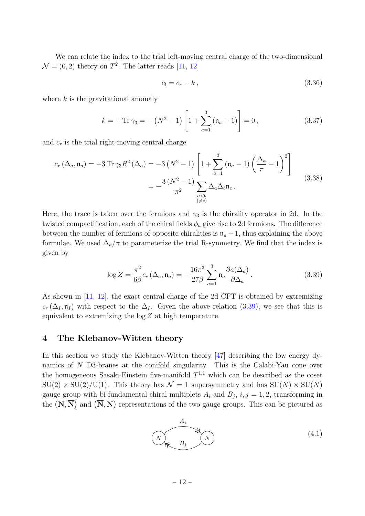We can relate the index to the trial left-moving central charge of the two-dimensional  $\mathcal{N} = (0, 2)$  theory on  $T^2$ . The latter reads [\[11,](#page-27-4) [12\]](#page-27-13)

$$
c_l = c_r - k \,, \tag{3.36}
$$

where  $k$  is the gravitational anomaly

$$
k = -\operatorname{Tr}\gamma_3 = -\left(N^2 - 1\right)\left[1 + \sum_{a=1}^3 \left(\mathfrak{n}_a - 1\right)\right] = 0\,,\tag{3.37}
$$

and  $c_r$  is the trial right-moving central charge

$$
c_r (\Delta_a, \mathfrak{n}_a) = -3 \operatorname{Tr} \gamma_3 R^2 (\Delta_a) = -3 (N^2 - 1) \left[ 1 + \sum_{a=1}^3 (\mathfrak{n}_a - 1) \left( \frac{\Delta_a}{\pi} - 1 \right)^2 \right]
$$
  
= 
$$
-\frac{3 (N^2 - 1)}{\pi^2} \sum_{\substack{a < b \\ (\neq c)}} \Delta_a \Delta_b \mathfrak{n}_c.
$$
 (3.38)

Here, the trace is taken over the fermions and  $\gamma_3$  is the chirality operator in 2d. In the twisted compactification, each of the chiral fields  $\phi_a$  give rise to 2d fermions. The difference between the number of fermions of opposite chiralities is  $\mathfrak{n}_a - 1$ , thus explaining the above formulae. We used  $\Delta_a/\pi$  to parameterize the trial R-symmetry. We find that the index is given by

<span id="page-12-1"></span>
$$
\log Z = \frac{\pi^2}{6\beta} c_r \left(\Delta_a, \mathfrak{n}_a\right) = -\frac{16\pi^3}{27\beta} \sum_{a=1}^3 \mathfrak{n}_a \frac{\partial a(\Delta_a)}{\partial \Delta_a}.
$$
 (3.39)

As shown in [\[11,](#page-27-4) [12\]](#page-27-13), the exact central charge of the 2d CFT is obtained by extremizing  $c_r$  ( $\Delta_I$ ,  $\mathfrak{n}_I$ ) with respect to the  $\Delta_I$ . Given the above relation [\(3.39\)](#page-12-1), we see that this is equivalent to extremizing the  $\log Z$  at high temperature.

## <span id="page-12-0"></span>4 The Klebanov-Witten theory

In this section we study the Klebanov-Witten theory [\[47\]](#page-29-2) describing the low energy dynamics of N D3-branes at the conifold singularity. This is the Calabi-Yau cone over the homogeneous Sasaki-Einstein five-manifold  $T^{1,1}$  which can be described as the coset  $SU(2) \times SU(2)/U(1)$ . This theory has  $\mathcal{N} = 1$  supersymmetry and has  $SU(N) \times SU(N)$ gauge group with bi-fundamental chiral multiplets  $A_i$  and  $B_j$ ,  $i, j = 1, 2$ , transforming in the  $(N, \overline{N})$  and  $(\overline{N}, N)$  representations of the two gauge groups. This can be pictured as

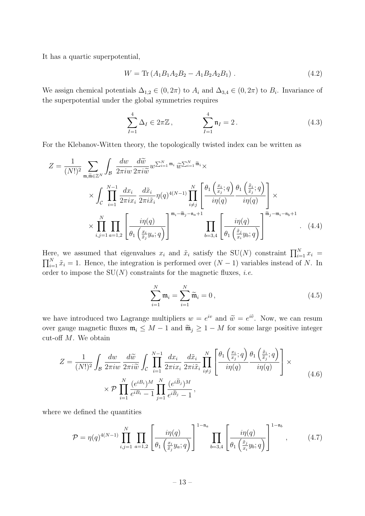It has a quartic superpotential,

$$
W = \text{Tr}\left(A_1 B_1 A_2 B_2 - A_1 B_2 A_2 B_1\right). \tag{4.2}
$$

We assign chemical potentials  $\Delta_{1,2} \in (0, 2\pi)$  to  $A_i$  and  $\Delta_{3,4} \in (0, 2\pi)$  to  $B_i$ . Invariance of the superpotential under the global symmetries requires

<span id="page-13-0"></span>
$$
\sum_{I=1}^{4} \Delta_I \in 2\pi \mathbb{Z}, \qquad \sum_{I=1}^{4} \mathfrak{n}_I = 2.
$$
 (4.3)

For the Klebanov-Witten theory, the topologically twisted index can be written as

$$
Z = \frac{1}{(N!)^2} \sum_{\mathfrak{m}, \widetilde{\mathfrak{m}} \in \mathbb{Z}^N} \int_{\mathcal{B}} \frac{dw}{2\pi i w} \frac{d\widetilde{w}}{2\pi i \widetilde{w}} w^{\sum_{i=1}^N \mathfrak{m}_i} \widetilde{w}^{\sum_{i=1}^N \widetilde{\mathfrak{m}}_i} \times \int_{\mathcal{C}} \prod_{i=1}^{N-1} \frac{dx_i}{2\pi i x_i} \frac{d\widetilde{x}_i}{2\pi i \widetilde{x}_i} \eta(q)^{4(N-1)} \prod_{i \neq j}^N \left[ \frac{\theta_1\left(\frac{x_i}{x_j}; q\right)}{i\eta(q)} \frac{\theta_1\left(\frac{\widetilde{x}_i}{\widetilde{x}_j}; q\right)}{i\eta(q)} \right] \times \prod_{i,j=1}^N \prod_{a=1,2} \left[ \frac{i\eta(q)}{\theta_1\left(\frac{x_i}{\widetilde{x}_j}; q\right)} \right]^{m_i - \widetilde{\mathfrak{m}}_j - n_a + 1} \prod_{b=3,4} \left[ \frac{i\eta(q)}{\theta_1\left(\frac{\widetilde{x}_j}{x_i}; q\right)} \right]^{\widetilde{\mathfrak{m}}_j - m_i - n_b + 1} \quad (4.4)
$$

Here, we assumed that eigenvalues  $x_i$  and  $\tilde{x}_i$  satisfy the SU(N) constraint  $\prod_{i=1}^N x_i =$  $\prod_{i=1}^{N} \tilde{x}_i = 1$ . Hence, the integration is performed over  $(N-1)$  variables instead of N. In order to impose the  $SU(N)$  constraints for the magnetic fluxes, *i.e.* 

$$
\sum_{i=1}^{N} \mathfrak{m}_i = \sum_{i=1}^{N} \widetilde{\mathfrak{m}}_i = 0, \qquad (4.5)
$$

we have introduced two Lagrange multipliers  $w = e^{iv}$  and  $\widetilde{w} = e^{i\widetilde{v}}$ . Now, we can resum over gauge magnetic fluxes  $\mathfrak{m}_i \leq M - 1$  and  $\widetilde{\mathfrak{m}}_j \geq 1 - M$  for some large positive integer cut-off  $M$ . We obtain

$$
Z = \frac{1}{(N!)^2} \int_{\mathcal{B}} \frac{dw}{2\pi i w} \frac{d\widetilde{w}}{2\pi i \widetilde{w}} \int_{\mathcal{C}} \prod_{i=1}^{N-1} \frac{dx_i}{2\pi i x_i} \frac{d\widetilde{x}_i}{2\pi i \widetilde{x}_i} \prod_{i \neq j}^{N} \left[ \frac{\theta_1\left(\frac{x_i}{x_j}; q\right)}{i\eta(q)} \frac{\theta_1\left(\frac{\widetilde{x}_i}{\widetilde{x}_j}; q\right)}{i\eta(q)} \right] \times
$$
  
 
$$
\times \mathcal{P} \prod_{i=1}^{N} \frac{(e^{iB_i})^M}{e^{iB_i} - 1} \prod_{j=1}^{N} \frac{(e^{i\widetilde{B}_j})^M}{e^{i\widetilde{B}_j} - 1}, \tag{4.6}
$$

where we defined the quantities

<span id="page-13-1"></span>
$$
\mathcal{P} = \eta(q)^{4(N-1)} \prod_{i,j=1}^{N} \prod_{a=1,2} \left[ \frac{i\eta(q)}{\theta_1\left(\frac{x_i}{\tilde{x}_j}y_a;q\right)} \right]^{1-\mathfrak{n}_a} \prod_{b=3,4} \left[ \frac{i\eta(q)}{\theta_1\left(\frac{\tilde{x}_j}{x_i}y_b;q\right)} \right]^{1-\mathfrak{n}_b},\tag{4.7}
$$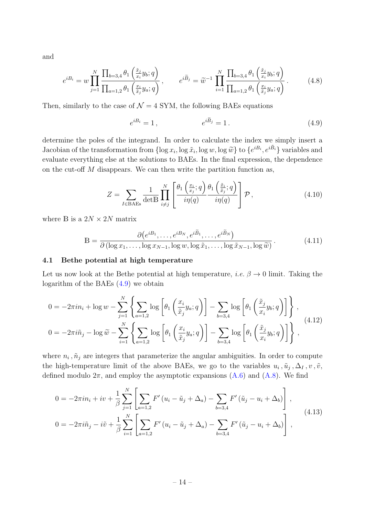and

$$
e^{iB_i} = w \prod_{j=1}^N \frac{\prod_{b=3,4} \theta_1 \left( \frac{\tilde{x}_j}{x_i} y_b; q \right)}{\prod_{a=1,2} \theta_1 \left( \frac{x_i}{\tilde{x}_j} y_a; q \right)}, \qquad e^{i\tilde{B}_j} = \tilde{w}^{-1} \prod_{i=1}^N \frac{\prod_{b=3,4} \theta_1 \left( \frac{\tilde{x}_j}{x_i} y_b; q \right)}{\prod_{a=1,2} \theta_1 \left( \frac{x_i}{\tilde{x}_j} y_a; q \right)}.
$$
(4.8)

Then, similarly to the case of  $\mathcal{N} = 4$  SYM, the following BAEs equations

<span id="page-14-1"></span>
$$
e^{iB_i} = 1, \qquad \qquad e^{i\widetilde{B}_j} = 1. \tag{4.9}
$$

determine the poles of the integrand. In order to calculate the index we simply insert a Jacobian of the transformation from  $\{\log x_i, \log \tilde{x}_i, \log w, \log \tilde{w}\}\)$  to  $\{e^{iB_i}, e^{i\tilde{B}_i}\}$  variables and<br>replaces connecting also at the solutions to  $\mathbf{P} \Lambda \mathbf{E}$ . In the final connection, the dependence evaluate everything else at the solutions to BAEs. In the final expression, the dependence on the cut-off  $M$  disappears. We can then write the partition function as,

<span id="page-14-3"></span>
$$
Z = \sum_{I \in BAEs} \frac{1}{\det B} \prod_{i \neq j}^{N} \left[ \frac{\theta_1\left(\frac{x_i}{x_j}; q\right)}{i\eta(q)} \frac{\theta_1\left(\frac{\tilde{x}_i}{\tilde{x}_j}; q\right)}{i\eta(q)} \right] \mathcal{P}, \tag{4.10}
$$

where  $\mathbb B$  is a  $2N\times 2N$  matrix

<span id="page-14-4"></span>
$$
\mathbb{B} = \frac{\partial \left(e^{iB_1}, \dots, e^{iB_N}, e^{i\widetilde{B}_1}, \dots, e^{i\widetilde{B}_N}\right)}{\partial \left(\log x_1, \dots, \log x_{N-1}, \log w, \log \widetilde{x}_1, \dots, \log \widetilde{x}_{N-1}, \log \widetilde{w}\right)}.
$$
(4.11)

#### <span id="page-14-0"></span>4.1 Bethe potential at high temperature

Let us now look at the Bethe potential at high temperature, *i.e.*  $\beta \rightarrow 0$  limit. Taking the logarithm of the BAEs [\(4.9\)](#page-14-1) we obtain

$$
0 = -2\pi i n_i + \log w - \sum_{j=1}^N \left\{ \sum_{a=1,2} \log \left[ \theta_1 \left( \frac{x_i}{\tilde{x}_j} y_a; q \right) \right] - \sum_{b=3,4} \log \left[ \theta_1 \left( \frac{\tilde{x}_j}{x_i} y_b; q \right) \right] \right\},
$$
  

$$
0 = -2\pi i \tilde{n}_j - \log \tilde{w} - \sum_{i=1}^N \left\{ \sum_{a=1,2} \log \left[ \theta_1 \left( \frac{x_i}{\tilde{x}_j} y_a; q \right) \right] - \sum_{b=3,4} \log \left[ \theta_1 \left( \frac{\tilde{x}_j}{x_i} y_b; q \right) \right] \right\},
$$
(4.12)

where  $n_i$ ,  $\tilde{n}_j$  are integers that parameterize the angular ambiguities. In order to compute the high-temperature limit of the above BAEs, we go to the variables  $u_i$ ,  $\tilde{u}_j$ ,  $\Delta_I$ ,  $v$ ,  $\tilde{v}$ , defined modulo  $2\pi$ , and employ the asymptotic expansions  $(A.6)$  and  $(A.8)$ . We find

<span id="page-14-2"></span>
$$
0 = -2\pi i n_i + iv + \frac{1}{\beta} \sum_{j=1}^{N} \left[ \sum_{a=1,2} F'(u_i - \tilde{u}_j + \Delta_a) - \sum_{b=3,4} F'(\tilde{u}_j - u_i + \Delta_b) \right],
$$
  
\n
$$
0 = -2\pi i \tilde{n}_j - i\tilde{v} + \frac{1}{\beta} \sum_{i=1}^{N} \left[ \sum_{a=1,2} F'(u_i - \tilde{u}_j + \Delta_a) - \sum_{b=3,4} F'(\tilde{u}_j - u_i + \Delta_b) \right],
$$
\n(4.13)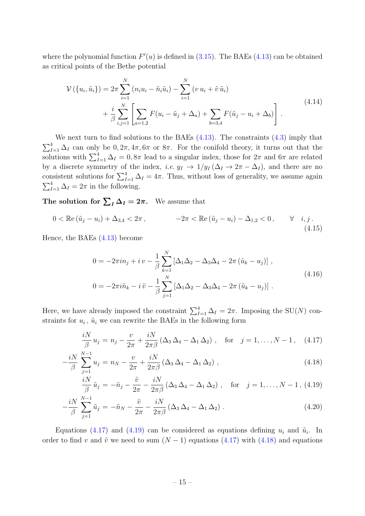where the polynomial function  $F'(u)$  is defined in [\(3.15\)](#page-8-3). The BAEs [\(4.13\)](#page-14-2) can be obtained as critical points of the Bethe potential

<span id="page-15-1"></span>
$$
\mathcal{V}\left(\{u_i, \tilde{u}_i\}\right) = 2\pi \sum_{i=1}^N \left(n_i u_i - \tilde{n}_i \tilde{u}_i\right) - \sum_{i=1}^N \left(v u_i + \tilde{v} \tilde{u}_i\right) + \frac{i}{\beta} \sum_{i,j=1}^N \left[\sum_{a=1,2} F(u_i - \tilde{u}_j + \Delta_a) + \sum_{b=3,4} F(\tilde{u}_j - u_i + \Delta_b)\right].
$$
\n(4.14)

We next turn to find solutions to the BAEs  $(4.13)$ . The constraints  $(4.3)$  imply that  $\sum_{I=1}^{4} \Delta_I$  can only be  $0, 2\pi, 4\pi, 6\pi$  or  $8\pi$ . For the conifold theory, it turns out that the solutions with  $\sum_{I=1}^{4} \Delta_I = 0, 8\pi$  lead to a singular index, those for  $2\pi$  and  $6\pi$  are related by a discrete symmetry of the index, *i.e.*  $y_I \to 1/y_I (\Delta_I \to 2\pi - \Delta_I)$ , and there are no consistent solutions for  $\sum_{I=1}^{4} \Delta_I = 4\pi$ . Thus, without loss of generality, we assume again  $\sum_{I=1}^{4} \Delta_I = 2\pi$  in the following.

The solution for  $\sum_{I} \Delta_{I} = 2\pi$ . We assume that

$$
0 < \mathbb{Re}(\tilde{u}_j - u_i) + \Delta_{3,4} < 2\pi \,, \qquad -2\pi < \mathbb{Re}(\tilde{u}_j - u_i) - \Delta_{1,2} < 0 \,, \qquad \forall \quad i, j \,.
$$
\n(4.15)

Hence, the BAEs [\(4.13\)](#page-14-2) become

$$
0 = -2\pi i n_j + i v - \frac{1}{\beta} \sum_{k=1}^{N} \left[ \Delta_1 \Delta_2 - \Delta_3 \Delta_4 - 2\pi (\tilde{u}_k - u_j) \right],
$$
  
\n
$$
0 = -2\pi i \tilde{n}_k - i \tilde{v} - \frac{1}{\beta} \sum_{j=1}^{N} \left[ \Delta_1 \Delta_2 - \Delta_3 \Delta_4 - 2\pi (\tilde{u}_k - u_j) \right].
$$
\n(4.16)

Here, we have already imposed the constraint  $\sum_{I=1}^{4} \Delta_I = 2\pi$ . Imposing the SU(N) constraints for  $u_i$ ,  $\tilde{u}_i$  we can rewrite the BAEs in the following form

<span id="page-15-0"></span>
$$
\frac{iN}{\beta}u_j = n_j - \frac{v}{2\pi} + \frac{iN}{2\pi\beta} (\Delta_3 \Delta_4 - \Delta_1 \Delta_2), \text{ for } j = 1, ..., N - 1, (4.17)
$$

$$
-\frac{iN}{\beta} \sum_{j=1}^{N-1} u_j = n_N - \frac{v}{2\pi} + \frac{iN}{2\pi\beta} (\Delta_3 \Delta_4 - \Delta_1 \Delta_2) , \qquad (4.18)
$$

$$
\frac{iN}{\beta}\tilde{u}_j = -\tilde{n}_j - \frac{\tilde{v}}{2\pi} - \frac{iN}{2\pi\beta} \left(\Delta_3 \Delta_4 - \Delta_1 \Delta_2\right), \quad \text{for} \quad j = 1, \dots, N-1, \ (4.19)
$$

$$
-\frac{iN}{\beta} \sum_{j=1}^{N-1} \tilde{u}_j = -\tilde{n}_N - \frac{\tilde{v}}{2\pi} - \frac{iN}{2\pi\beta} \left(\Delta_3 \Delta_4 - \Delta_1 \Delta_2\right). \tag{4.20}
$$

Equations [\(4.17\)](#page-15-0) and [\(4.19\)](#page-15-0) can be considered as equations defining  $u_i$  and  $\tilde{u}_i$ . In order to find v and  $\tilde{v}$  we need to sum  $(N-1)$  equations [\(4.17\)](#page-15-0) with [\(4.18\)](#page-15-0) and equations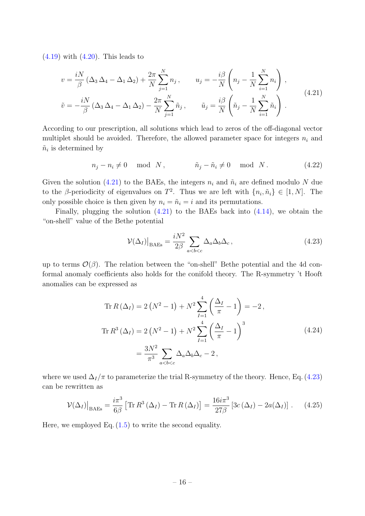$(4.19)$  with  $(4.20)$ . This leads to

<span id="page-16-0"></span>
$$
v = \frac{iN}{\beta} (\Delta_3 \Delta_4 - \Delta_1 \Delta_2) + \frac{2\pi}{N} \sum_{j=1}^N n_j, \qquad u_j = -\frac{i\beta}{N} \left( n_j - \frac{1}{N} \sum_{i=1}^N n_i \right),
$$
  

$$
\tilde{v} = -\frac{iN}{\beta} (\Delta_3 \Delta_4 - \Delta_1 \Delta_2) - \frac{2\pi}{N} \sum_{j=1}^N \tilde{n}_j, \qquad \tilde{u}_j = \frac{i\beta}{N} \left( \tilde{n}_j - \frac{1}{N} \sum_{i=1}^N \tilde{n}_i \right).
$$
 (4.21)

According to our prescription, all solutions which lead to zeros of the off-diagonal vector multiplet should be avoided. Therefore, the allowed parameter space for integers  $n_i$  and  $\tilde{n}_i$  is determined by

$$
n_j - n_i \neq 0 \quad \text{mod} \quad N \,, \qquad \qquad \tilde{n}_j - \tilde{n}_i \neq 0 \quad \text{mod} \quad N \,. \tag{4.22}
$$

Given the solution [\(4.21\)](#page-16-0) to the BAEs, the integers  $n_i$  and  $\tilde{n}_i$  are defined modulo N due to the  $\beta$ -periodicity of eigenvalues on  $T^2$ . Thus we are left with  $\{n_i, \tilde{n}_i\} \in [1, N]$ . The only possible choice is then given by  $n_i = \tilde{n}_i = i$  and its permutations.

Finally, plugging the solution  $(4.21)$  to the BAEs back into  $(4.14)$ , we obtain the "on-shell" value of the Bethe potential

<span id="page-16-1"></span>
$$
\mathcal{V}(\Delta_I)|_{\text{BAEs}} = \frac{iN^2}{2\beta} \sum_{a
$$

up to terms  $\mathcal{O}(\beta)$ . The relation between the "on-shell" Bethe potential and the 4d conformal anomaly coefficients also holds for the conifold theory. The R-symmetry 't Hooft anomalies can be expressed as

$$
\operatorname{Tr} R(\Delta_I) = 2(N^2 - 1) + N^2 \sum_{I=1}^{4} \left(\frac{\Delta_I}{\pi} - 1\right) = -2,
$$
  

$$
\operatorname{Tr} R^3(\Delta_I) = 2(N^2 - 1) + N^2 \sum_{I=1}^{4} \left(\frac{\Delta_I}{\pi} - 1\right)^3
$$
  

$$
= \frac{3N^2}{\pi^3} \sum_{a < b < c} \Delta_a \Delta_b \Delta_c - 2,
$$
 (4.24)

where we used  $\Delta_I/\pi$  to parameterize the trial R-symmetry of the theory. Hence, Eq. [\(4.23\)](#page-16-1) can be rewritten as

$$
\mathcal{V}(\Delta_I)|_{\text{BAEs}} = \frac{i\pi^3}{6\beta} \left[ \text{Tr}\, R^3 \left( \Delta_I \right) - \text{Tr}\, R \left( \Delta_I \right) \right] = \frac{16i\pi^3}{27\beta} \left[ 3c \left( \Delta_I \right) - 2a(\Delta_I) \right]. \tag{4.25}
$$

Here, we employed Eq.  $(1.5)$  to write the second equality.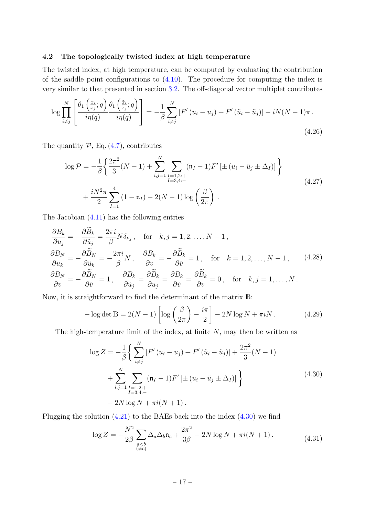#### <span id="page-17-0"></span>4.2 The topologically twisted index at high temperature

The twisted index, at high temperature, can be computed by evaluating the contribution of the saddle point configurations to  $(4.10)$ . The procedure for computing the index is very similar to that presented in section [3.2.](#page-10-0) The off-diagonal vector multiplet contributes

$$
\log \prod_{i \neq j}^{N} \left[ \frac{\theta_1 \left( \frac{x_i}{x_j}; q \right) \theta_1 \left( \frac{\tilde{x}_i}{\tilde{x}_j}; q \right)}{i \eta(q)} \right] = -\frac{1}{\beta} \sum_{i \neq j}^{N} \left[ F'(u_i - u_j) + F'(\tilde{u}_i - \tilde{u}_j) \right] - iN(N - 1)\pi \,.
$$
\n(4.26)

The quantity  $P$ , Eq. [\(4.7\)](#page-13-1), contributes

$$
\log \mathcal{P} = -\frac{1}{\beta} \left\{ \frac{2\pi^2}{3} (N-1) + \sum_{i,j=1}^N \sum_{\substack{I=1,2:\text{+} \\ I=3,4:\text{-}}} (\mathfrak{n}_I - 1) F' \left[ \pm (u_i - \tilde{u}_j \pm \Delta_I) \right] \right\}
$$
  
+ 
$$
\frac{iN^2 \pi}{2} \sum_{I=1}^4 (1 - \mathfrak{n}_I) - 2(N-1) \log \left( \frac{\beta}{2\pi} \right).
$$
 (4.27)

The Jacobian [\(4.11\)](#page-14-4) has the following entries

$$
\frac{\partial B_k}{\partial u_j} = -\frac{\partial \bar{B}_k}{\partial \tilde{u}_j} = \frac{2\pi i}{\beta} N \delta_{kj}, \quad \text{for} \quad k, j = 1, 2, \dots, N - 1,
$$
  

$$
\frac{\partial B_N}{\partial u_k} = -\frac{\partial \tilde{B}_N}{\partial \tilde{u}_k} = -\frac{2\pi i}{\beta} N, \quad \frac{\partial B_k}{\partial v} = -\frac{\partial \tilde{B}_k}{\partial \tilde{v}} = 1, \quad \text{for} \quad k = 1, 2, \dots, N - 1,
$$
  

$$
\frac{\partial B_N}{\partial v} = -\frac{\partial \tilde{B}_N}{\partial \tilde{v}} = 1, \quad \frac{\partial B_k}{\partial \tilde{u}_j} = \frac{\partial \tilde{B}_k}{\partial u_j} = \frac{\partial B_k}{\partial \tilde{v}} = \frac{\partial \tilde{B}_k}{\partial v} = 0, \quad \text{for} \quad k, j = 1, \dots, N.
$$
  
(4.28)

Now, it is straightforward to find the determinant of the matrix B:

$$
-\log \det \mathbb{B} = 2(N-1)\left[\log\left(\frac{\beta}{2\pi}\right) - \frac{i\pi}{2}\right] - 2N\log N + \pi iN. \tag{4.29}
$$

The high-temperature limit of the index, at finite  $N$ , may then be written as

<span id="page-17-1"></span>
$$
\log Z = -\frac{1}{\beta} \Biggl\{ \sum_{i \neq j}^{N} \left[ F'(u_i - u_j) + F'(\tilde{u}_i - \tilde{u}_j) \right] + \frac{2\pi^2}{3} (N - 1) + \sum_{i,j=1}^{N} \sum_{\substack{I=1,2:+\\I=3,4:-}} (\mathfrak{n}_I - 1) F' \left[ \pm (u_i - \tilde{u}_j \pm \Delta_I) \right] \Biggr\}
$$
(4.30)  
- 2N log N +  $\pi i (N + 1)$ .

Plugging the solution  $(4.21)$  to the BAEs back into the index  $(4.30)$  we find

$$
\log Z = -\frac{N^2}{2\beta} \sum_{\substack{a
$$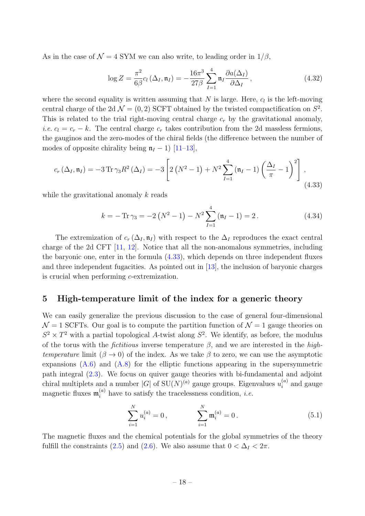As in the case of  $\mathcal{N} = 4$  SYM we can also write, to leading order in  $1/\beta$ ,

$$
\log Z = \frac{\pi^2}{6\beta} c_l \left(\Delta_I, \mathfrak{n}_I\right) = -\frac{16\pi^3}{27\beta} \sum_{I=1}^4 \mathfrak{n}_I \frac{\partial a(\Delta_I)}{\partial \Delta_I},\tag{4.32}
$$

where the second equality is written assuming that  $N$  is large. Here,  $c_l$  is the left-moving central charge of the 2d  $\mathcal{N} = (0, 2)$  SCFT obtained by the twisted compactification on  $S^2$ . This is related to the trial right-moving central charge  $c_r$  by the gravitational anomaly, *i.e.*  $c_l = c_r - k$ . The central charge  $c_r$  takes contribution from the 2d massless fermions, the gauginos and the zero-modes of the chiral fields (the difference between the number of modes of opposite chirality being  $\mathfrak{n}_I - 1$ ) [\[11–](#page-27-4)[13\]](#page-27-5),

<span id="page-18-1"></span>
$$
c_r \left( \Delta_I, \mathfrak{n}_I \right) = -3 \operatorname{Tr} \gamma_3 R^2 \left( \Delta_I \right) = -3 \left[ 2 \left( N^2 - 1 \right) + N^2 \sum_{I=1}^4 \left( \mathfrak{n}_I - 1 \right) \left( \frac{\Delta_I}{\pi} - 1 \right)^2 \right], \tag{4.33}
$$

while the gravitational anomaly k reads

$$
k = -\operatorname{Tr}\gamma_3 = -2\left(N^2 - 1\right) - N^2 \sum_{I=1}^4 \left(\mathfrak{n}_I - 1\right) = 2. \tag{4.34}
$$

The extremization of  $c_r(\Delta_I, \mathfrak{n}_I)$  with respect to the  $\Delta_I$  reproduces the exact central charge of the 2d CFT [\[11,](#page-27-4) [12\]](#page-27-13). Notice that all the non-anomalous symmetries, including the baryonic one, enter in the formula [\(4.33\)](#page-18-1), which depends on three independent fluxes and three independent fugacities. As pointed out in [\[13\]](#page-27-5), the inclusion of baryonic charges is crucial when performing c-extremization.

## <span id="page-18-0"></span>5 High-temperature limit of the index for a generic theory

We can easily generalize the previous discussion to the case of general four-dimensional  $\mathcal{N} = 1$  SCFTs. Our goal is to compute the partition function of  $\mathcal{N} = 1$  gauge theories on  $S^2 \times T^2$  with a partial topological A-twist along  $S^2$ . We identify, as before, the modulus of the torus with the *fictitious* inverse temperature  $\beta$ , and we are interested in the hightemperature limit  $(\beta \to 0)$  of the index. As we take  $\beta$  to zero, we can use the asymptotic expansions  $(A.6)$  and  $(A.8)$  for the elliptic functions appearing in the supersymmetric path integral [\(2.3\)](#page-5-2). We focus on quiver gauge theories with bi-fundamental and adjoint chiral multiplets and a number  $|G|$  of  $SU(N)^{(a)}$  gauge groups. Eigenvalues  $u_i^{(a)}$  $a_i^{(a)}$  and gauge magnetic fluxes  $\mathfrak{m}_i^{(a)}$  have to satisfy the tracelessness condition, *i.e.* 

$$
\sum_{i=1}^{N} u_i^{(a)} = 0, \qquad \sum_{i=1}^{N} \mathfrak{m}_i^{(a)} = 0.
$$
 (5.1)

The magnetic fluxes and the chemical potentials for the global symmetries of the theory fulfill the constraints [\(2.5\)](#page-6-4) and [\(2.6\)](#page-6-5). We also assume that  $0 < \Delta_I < 2\pi$ .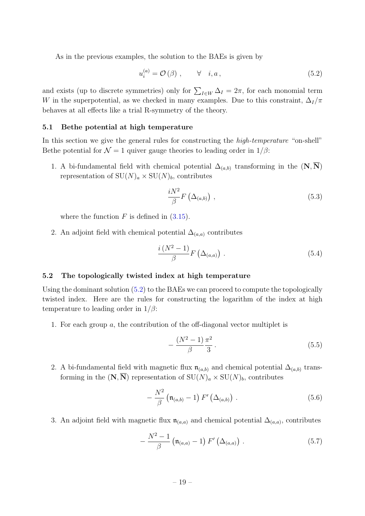As in the previous examples, the solution to the BAEs is given by

<span id="page-19-2"></span>
$$
u_i^{(a)} = \mathcal{O}\left(\beta\right) , \qquad \forall \quad i, a \,, \tag{5.2}
$$

and exists (up to discrete symmetries) only for  $\sum_{I \in W} \Delta_I = 2\pi$ , for each monomial term W in the superpotential, as we checked in many examples. Due to this constraint,  $\Delta_I/\pi$ behaves at all effects like a trial R-symmetry of the theory.

#### <span id="page-19-0"></span>5.1 Bethe potential at high temperature

In this section we give the general rules for constructing the *high-temperature* "on-shell" Bethe potential for  $\mathcal{N} = 1$  quiver gauge theories to leading order in  $1/\beta$ :

1. A bi-fundamental field with chemical potential  $\Delta_{(a,b)}$  transforming in the  $(N, N)$ representation of  $SU(N)_a \times SU(N)_b$ , contributes

<span id="page-19-3"></span>
$$
\frac{iN^2}{\beta}F\left(\Delta_{(a,b)}\right)\,,\tag{5.3}
$$

where the function  $F$  is defined in  $(3.15)$ .

2. An adjoint field with chemical potential  $\Delta_{(a,a)}$  contributes

<span id="page-19-4"></span>
$$
\frac{i(N^2-1)}{\beta}F(\Delta_{(a,a)})\ .
$$
 (5.4)

#### <span id="page-19-1"></span>5.2 The topologically twisted index at high temperature

Using the dominant solution  $(5.2)$  to the BAEs we can proceed to compute the topologically twisted index. Here are the rules for constructing the logarithm of the index at high temperature to leading order in  $1/\beta$ :

1. For each group a, the contribution of the off-diagonal vector multiplet is

<span id="page-19-7"></span>
$$
-\frac{(N^2-1)\pi^2}{\beta}.
$$
\n(5.5)

2. A bi-fundamental field with magnetic flux  $\mathfrak{n}_{(a,b)}$  and chemical potential  $\Delta_{(a,b)}$  transforming in the  $(N, N)$  representation of  $SU(N)_a \times SU(N)_b$ , contributes

<span id="page-19-5"></span>
$$
-\frac{N^2}{\beta}\left(\mathfrak{n}_{(a,b)}-1\right)F'\left(\Delta_{(a,b)}\right)\,. \tag{5.6}
$$

3. An adjoint field with magnetic flux  $\mathfrak{n}_{(a,a)}$  and chemical potential  $\Delta_{(a,a)}$ , contributes

<span id="page-19-6"></span>
$$
-\frac{N^2-1}{\beta}\left(\mathfrak{n}_{(a,a)}-1\right)F'\left(\Delta_{(a,a)}\right)\,. \tag{5.7}
$$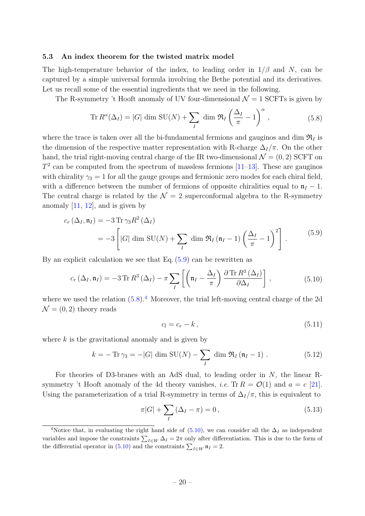#### <span id="page-20-0"></span>5.3 An index theorem for the twisted matrix model

The high-temperature behavior of the index, to leading order in  $1/\beta$  and N, can be captured by a simple universal formula involving the Bethe potential and its derivatives. Let us recall some of the essential ingredients that we need in the following.

The R-symmetry 't Hooft anomaly of UV four-dimensional  $\mathcal{N}=1$  SCFTs is given by

<span id="page-20-2"></span>
$$
\text{Tr}\, R^{\alpha}(\Delta_I) = |G| \dim \text{SU}(N) + \sum_{I} \dim \mathfrak{R}_I \left(\frac{\Delta_I}{\pi} - 1\right)^{\alpha},\tag{5.8}
$$

where the trace is taken over all the bi-fundamental fermions and gauginos and dim  $\mathcal{R}_I$  is the dimension of the respective matter representation with R-charge  $\Delta_I/\pi$ . On the other hand, the trial right-moving central charge of the IR two-dimensional  $\mathcal{N} = (0, 2)$  SCFT on  $T<sup>2</sup>$  can be computed from the spectrum of massless fermions  $[11-13]$  $[11-13]$ . These are gauginos with chirality  $\gamma_3 = 1$  for all the gauge groups and fermionic zero modes for each chiral field, with a difference between the number of fermions of opposite chiralities equal to  $n_I - 1$ . The central charge is related by the  $\mathcal{N} = 2$  superconformal algebra to the R-symmetry anomaly  $[11, 12]$  $[11, 12]$ , and is given by

<span id="page-20-1"></span>
$$
c_r \left(\Delta_I, \mathfrak{n}_I\right) = -3 \operatorname{Tr} \gamma_3 R^2 \left(\Delta_I\right)
$$
  
= -3 \left[|G| \dim \mathrm{SU}(N) + \sum\_I \dim \mathfrak{R}\_I \left(\mathfrak{n}\_I - 1\right) \left(\frac{\Delta\_I}{\pi} - 1\right)^2\right]. \tag{5.9}

By an explicit calculation we see that Eq.  $(5.9)$  can be rewritten as

<span id="page-20-4"></span>
$$
c_r\left(\Delta_I, \mathfrak{n}_I\right) = -3 \operatorname{Tr} R^3\left(\Delta_I\right) - \pi \sum_I \left[ \left(\mathfrak{n}_I - \frac{\Delta_I}{\pi}\right) \frac{\partial \operatorname{Tr} R^3\left(\Delta_I\right)}{\partial \Delta_I} \right],\tag{5.10}
$$

where we used the relation  $(5.8)^{4}$  $(5.8)^{4}$  $(5.8)^{4}$ . Moreover, the trial left-moving central charge of the 2d  $\mathcal{N} = (0, 2)$  theory reads

<span id="page-20-6"></span>
$$
c_l = c_r - k \,, \tag{5.11}
$$

where  $k$  is the gravitational anomaly and is given by

$$
k = -\operatorname{Tr}\gamma_3 = -|G| \dim \operatorname{SU}(N) - \sum_{I} \dim \mathfrak{R}_I(\mathfrak{n}_I - 1) . \tag{5.12}
$$

For theories of D3-branes with an AdS dual, to leading order in N, the linear Rsymmetry 't Hooft anomaly of the 4d theory vanishes, *i.e.* Tr  $R = \mathcal{O}(1)$  and  $a = c$  [\[21\]](#page-27-14). Using the parameterization of a trial R-symmetry in terms of  $\Delta_I/\pi$ , this is equivalent to

<span id="page-20-5"></span>
$$
\pi|G| + \sum_{I} (\Delta_I - \pi) = 0, \qquad (5.13)
$$

<span id="page-20-3"></span><sup>&</sup>lt;sup>4</sup>Notice that, in evaluating the right hand side of [\(5.10\)](#page-20-4), we can consider all the  $\Delta_I$  as independent variables and impose the constraints  $\sum_{I \in W} \Delta_I = 2\pi$  only after differentiation. This is due to the form of the differential operator in [\(5.10\)](#page-20-4) and the constraints  $\sum_{I \in W} \mathfrak{n}_I = 2$ .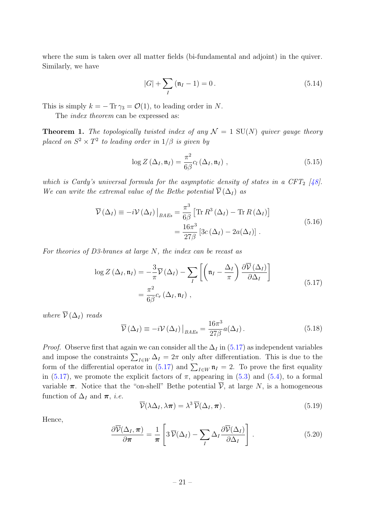where the sum is taken over all matter fields (bi-fundamental and adjoint) in the quiver. Similarly, we have

<span id="page-21-5"></span>
$$
|G| + \sum_{I} (\mathfrak{n}_I - 1) = 0.
$$
 (5.14)

This is simply  $k = -\text{Tr }\gamma_3 = \mathcal{O}(1)$ , to leading order in N.

The *index theorem* can be expressed as:

**Theorem 1.** The topologically twisted index of any  $\mathcal{N} = 1$  SU(N) quiver gauge theory placed on  $S^2 \times T^2$  to leading order in  $1/\beta$  is given by

<span id="page-21-4"></span>
$$
\log Z\left(\Delta_{I}, \mathfrak{n}_{I}\right) = \frac{\pi^{2}}{6\beta} c_{l}\left(\Delta_{I}, \mathfrak{n}_{I}\right),\tag{5.15}
$$

which is Cardy's universal formula for the asymptotic density of states in a CFT<sub>2</sub> [\[48\]](#page-29-3). We can write the extremal value of the Bethe potential  $\overline{\mathcal{V}}(\Delta_I)$  as

<span id="page-21-2"></span>
$$
\overline{\mathcal{V}}(\Delta_I) \equiv -i \mathcal{V}(\Delta_I) \Big|_{BAEs} = \frac{\pi^3}{6\beta} \left[ \text{Tr} \, R^3 \left( \Delta_I \right) - \text{Tr} \, R \left( \Delta_I \right) \right]
$$
\n
$$
= \frac{16\pi^3}{27\beta} \left[ 3c \left( \Delta_I \right) - 2a(\Delta_I) \right] \,. \tag{5.16}
$$

For theories of D3-branes at large N, the index can be recast as

<span id="page-21-0"></span>
$$
\log Z\left(\Delta_{I}, \mathfrak{n}_{I}\right) = -\frac{3}{\pi} \overline{\mathcal{V}}\left(\Delta_{I}\right) - \sum_{I} \left[ \left(\mathfrak{n}_{I} - \frac{\Delta_{I}}{\pi}\right) \frac{\partial \overline{\mathcal{V}}\left(\Delta_{I}\right)}{\partial \Delta_{I}} \right]
$$

$$
= \frac{\pi^{2}}{6\beta} c_{r} \left(\Delta_{I}, \mathfrak{n}_{I}\right), \qquad (5.17)
$$

where  $\overline{\mathcal{V}}(\Delta_I)$  reads

<span id="page-21-3"></span>
$$
\overline{\mathcal{V}}\left(\Delta_{I}\right) \equiv -i\mathcal{V}\left(\Delta_{I}\right)\big|_{BAEs} = \frac{16\pi^{3}}{27\beta}a(\Delta_{I}).
$$
\n(5.18)

*Proof.* Observe first that again we can consider all the  $\Delta_I$  in [\(5.17\)](#page-21-0) as independent variables and impose the constraints  $\sum_{I \in W} \Delta_I = 2\pi$  only after differentiation. This is due to the form of the differential operator in [\(5.17\)](#page-21-0) and  $\sum_{I \in W} \mathfrak{n}_I = 2$ . To prove the first equality in [\(5.17\)](#page-21-0), we promote the explicit factors of  $\pi$ , appearing in [\(5.3\)](#page-19-3) and [\(5.4\)](#page-19-4), to a formal variable  $\pi$ . Notice that the "on-shell" Bethe potential  $\overline{\mathcal{V}}$ , at large N, is a homogeneous function of  $\Delta_I$  and  $\pi$ , *i.e.* 

$$
\overline{\mathcal{V}}(\lambda \Delta_I, \lambda \pi) = \lambda^3 \overline{\mathcal{V}}(\Delta_I, \pi).
$$
\n(5.19)

Hence,

<span id="page-21-1"></span>
$$
\frac{\partial \overline{\mathcal{V}}(\Delta_I, \boldsymbol{\pi})}{\partial \boldsymbol{\pi}} = \frac{1}{\boldsymbol{\pi}} \left[ 3 \, \overline{\mathcal{V}}(\Delta_I) - \sum_I \Delta_I \frac{\partial \overline{\mathcal{V}}(\Delta_I)}{\partial \Delta_I} \right]. \tag{5.20}
$$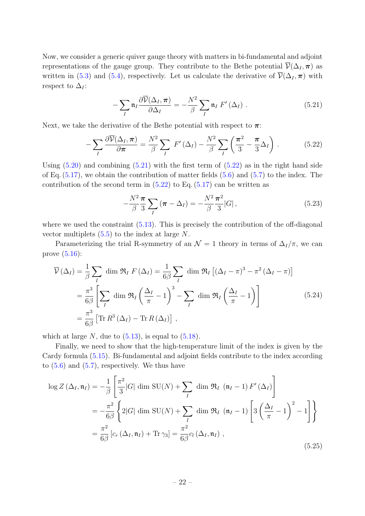Now, we consider a generic quiver gauge theory with matters in bi-fundamental and adjoint representations of the gauge group. They contribute to the Bethe potential  $\overline{\mathcal{V}}(\Delta_I, \pi)$  as written in [\(5.3\)](#page-19-3) and [\(5.4\)](#page-19-4), respectively. Let us calculate the derivative of  $\overline{\mathcal{V}}(\Delta_I, \pi)$  with respect to  $\Delta_I$ :

<span id="page-22-0"></span>
$$
-\sum_{I} \mathfrak{n}_{I} \frac{\partial \overline{\mathcal{V}}(\Delta_{I}, \boldsymbol{\pi})}{\partial \Delta_{I}} = -\frac{N^2}{\beta} \sum_{I} \mathfrak{n}_{I} F'(\Delta_{I}) . \qquad (5.21)
$$

Next, we take the derivative of the Bethe potential with respect to  $\pi$ :

$$
-\sum_{I} \frac{\partial \overline{\mathcal{V}}(\Delta_{I}, \boldsymbol{\pi})}{\partial \boldsymbol{\pi}} = \frac{N^2}{\beta} \sum_{I} F'(\Delta_{I}) - \frac{N^2}{\beta} \sum_{I} \left(\frac{\boldsymbol{\pi}^2}{3} - \frac{\boldsymbol{\pi}}{3} \Delta_{I}\right).
$$
 (5.22)

Using  $(5.20)$  and combining  $(5.21)$  with the first term of  $(5.22)$  as in the right hand side of Eq.  $(5.17)$ , we obtain the contribution of matter fields  $(5.6)$  and  $(5.7)$  to the index. The contribution of the second term in  $(5.22)$  to Eq.  $(5.17)$  can be written as

<span id="page-22-1"></span>
$$
-\frac{N^2 \pi}{\beta \ 3} \sum_{I} (\pi - \Delta_I) = -\frac{N^2 \pi^2}{\beta \ 3} |G| \,, \tag{5.23}
$$

where we used the constraint  $(5.13)$ . This is precisely the contribution of the off-diagonal vector multiplets  $(5.5)$  to the index at large N.

Parameterizing the trial R-symmetry of an  $\mathcal{N} = 1$  theory in terms of  $\Delta_I/\pi$ , we can prove [\(5.16\)](#page-21-2):

$$
\overline{\mathcal{V}}(\Delta_I) = \frac{1}{\beta} \sum_{I} \dim \mathfrak{R}_I F(\Delta_I) = \frac{1}{6\beta} \sum_{I} \dim \mathfrak{R}_I \left[ (\Delta_I - \pi)^3 - \pi^2 (\Delta_I - \pi) \right]
$$
  
=  $\frac{\pi^3}{6\beta} \left[ \sum_{I} \dim \mathfrak{R}_I \left( \frac{\Delta_I}{\pi} - 1 \right)^3 - \sum_{I} \dim \mathfrak{R}_I \left( \frac{\Delta_I}{\pi} - 1 \right) \right]$  (5.24)  
=  $\frac{\pi^3}{6\beta} \left[ \text{Tr} R^3 (\Delta_I) - \text{Tr} R (\Delta_I) \right],$ 

which at large  $N$ , due to  $(5.13)$ , is equal to  $(5.18)$ .

Finally, we need to show that the high-temperature limit of the index is given by the Cardy formula [\(5.15\)](#page-21-4). Bi-fundamental and adjoint fields contribute to the index according to  $(5.6)$  and  $(5.7)$ , respectively. We thus have

$$
\log Z\left(\Delta_{I}, \mathfrak{n}_{I}\right) = -\frac{1}{\beta} \left[ \frac{\pi^{2}}{3} |G| \dim \mathrm{SU}(N) + \sum_{I} \dim \mathfrak{R}_{I} \left( \mathfrak{n}_{I} - 1 \right) F'\left(\Delta_{I} \right) \right]
$$
  

$$
= -\frac{\pi^{2}}{6\beta} \left\{ 2|G| \dim \mathrm{SU}(N) + \sum_{I} \dim \mathfrak{R}_{I} \left( \mathfrak{n}_{I} - 1 \right) \left[ 3\left( \frac{\Delta_{I}}{\pi} - 1 \right)^{2} - 1 \right] \right\}
$$
  

$$
= \frac{\pi^{2}}{6\beta} \left[ c_{r} \left( \Delta_{I}, \mathfrak{n}_{I} \right) + \text{Tr} \gamma_{3} \right] = \frac{\pi^{2}}{6\beta} c_{l} \left( \Delta_{I}, \mathfrak{n}_{I} \right) , \tag{5.25}
$$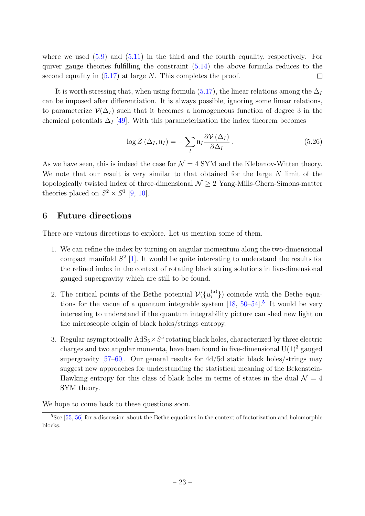where we used  $(5.9)$  and  $(5.11)$  in the third and the fourth equality, respectively. For quiver gauge theories fulfilling the constraint  $(5.14)$  the above formula reduces to the second equality in  $(5.17)$  at large N. This completes the proof.  $\Box$ 

It is worth stressing that, when using formula [\(5.17\)](#page-21-0), the linear relations among the  $\Delta_I$ can be imposed after differentiation. It is always possible, ignoring some linear relations, to parameterize  $\overline{\mathcal{V}}(\Delta_I)$  such that it becomes a homogeneous function of degree 3 in the chemical potentials  $\Delta_I$  [\[49\]](#page-29-4). With this parameterization the index theorem becomes

$$
\log Z\left(\Delta_{I}, \mathfrak{n}_{I}\right) = -\sum_{I} \mathfrak{n}_{I} \frac{\partial \overline{V}\left(\Delta_{I}\right)}{\partial \Delta_{I}}.
$$
\n(5.26)

As we have seen, this is indeed the case for  $\mathcal{N} = 4$  SYM and the Klebanov-Witten theory. We note that our result is very similar to that obtained for the large  $N$  limit of the topologically twisted index of three-dimensional  $\mathcal{N} \geq 2$  Yang-Mills-Chern-Simons-matter theories placed on  $S^2 \times S^1$  [\[9,](#page-27-2) [10\]](#page-27-3).

# <span id="page-23-0"></span>6 Future directions

There are various directions to explore. Let us mention some of them.

- 1. We can refine the index by turning on angular momentum along the two-dimensional compact manifold  $S^2$  [\[1\]](#page-26-0). It would be quite interesting to understand the results for the refined index in the context of rotating black string solutions in five-dimensional gauged supergravity which are still to be found.
- 2. The critical points of the Bethe potential  $\mathcal{V}(\{u_i^{(a)}\})$  $\binom{a}{i}$ ) coincide with the Bethe equations for the vacua of a quantum integrable system  $[18, 50-54]$  $[18, 50-54]$ <sup>[5](#page-23-1)</sup> It would be very interesting to understand if the quantum integrability picture can shed new light on the microscopic origin of black holes/strings entropy.
- 3. Regular asymptotically  $AdS_5 \times S^5$  rotating black holes, characterized by three electric charges and two angular momenta, have been found in five-dimensional  $U(1)^3$  gauged supergravity [\[57–](#page-30-0)[60\]](#page-30-1). Our general results for 4d/5d static black holes/strings may suggest new approaches for understanding the statistical meaning of the Bekenstein-Hawking entropy for this class of black holes in terms of states in the dual  $\mathcal{N}=4$ SYM theory.

We hope to come back to these questions soon.

<span id="page-23-1"></span> $5$ See [\[55,](#page-29-7) [56\]](#page-30-2) for a discussion about the Bethe equations in the context of factorization and holomorphic blocks.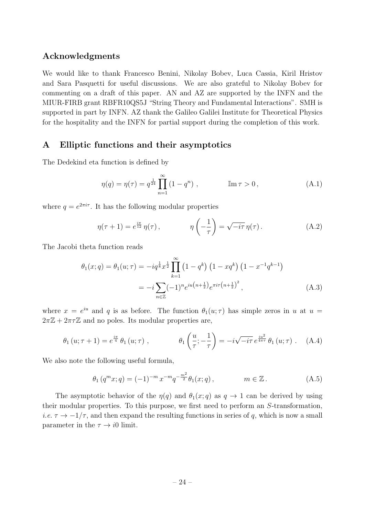# Acknowledgments

We would like to thank Francesco Benini, Nikolay Bobev, Luca Cassia, Kiril Hristov and Sara Pasquetti for useful discussions. We are also grateful to Nikolay Bobev for commenting on a draft of this paper. AN and AZ are supported by the INFN and the MIUR-FIRB grant RBFR10QS5J "String Theory and Fundamental Interactions". SMH is supported in part by INFN. AZ thank the Galileo Galilei Institute for Theoretical Physics for the hospitality and the INFN for partial support during the completion of this work.

# <span id="page-24-0"></span>A Elliptic functions and their asymptotics

The Dedekind eta function is defined by

$$
\eta(q) = \eta(\tau) = q^{\frac{1}{24}} \prod_{n=1}^{\infty} (1 - q^n) , \qquad \mathbb{I} \mathbf{m} \tau > 0 , \qquad (A.1)
$$

where  $q = e^{2\pi i \tau}$ . It has the following modular properties

<span id="page-24-1"></span>
$$
\eta(\tau+1) = e^{\frac{i\pi}{12}} \eta(\tau), \qquad \eta\left(-\frac{1}{\tau}\right) = \sqrt{-i\tau} \eta(\tau). \tag{A.2}
$$

The Jacobi theta function reads

$$
\theta_1(x;q) = \theta_1(u;\tau) = -iq^{\frac{1}{8}}x^{\frac{1}{2}} \prod_{k=1}^{\infty} (1 - q^k) (1 - xq^k) (1 - x^{-1}q^{k-1})
$$
  
= 
$$
-i \sum_{n \in \mathbb{Z}} (-1)^n e^{iu(n + \frac{1}{2})} e^{\pi i \tau (n + \frac{1}{2})^2}, \qquad (A.3)
$$

where  $x = e^{iu}$  and q is as before. The function  $\theta_1(u; \tau)$  has simple zeros in u at  $u =$  $2\pi\mathbb{Z} + 2\pi\tau\mathbb{Z}$  and no poles. Its modular properties are,

$$
\theta_1(u;\tau+1) = e^{\frac{i\pi}{4}} \theta_1(u;\tau) , \qquad \theta_1\left(\frac{u}{\tau};-\frac{1}{\tau}\right) = -i\sqrt{-i\tau} e^{\frac{iu^2}{4\pi\tau}} \theta_1(u;\tau) . \quad (A.4)
$$

We also note the following useful formula,

<span id="page-24-2"></span>
$$
\theta_1(q^m x; q) = (-1)^{-m} x^{-m} q^{-\frac{m^2}{2}} \theta_1(x; q), \qquad m \in \mathbb{Z}. \tag{A.5}
$$

The asymptotic behavior of the  $\eta(q)$  and  $\theta_1(x; q)$  as  $q \to 1$  can be derived by using their modular properties. To this purpose, we first need to perform an S-transformation, i.e.  $\tau \to -1/\tau$ , and then expand the resulting functions in series of q, which is now a small parameter in the  $\tau \to i0$  limit.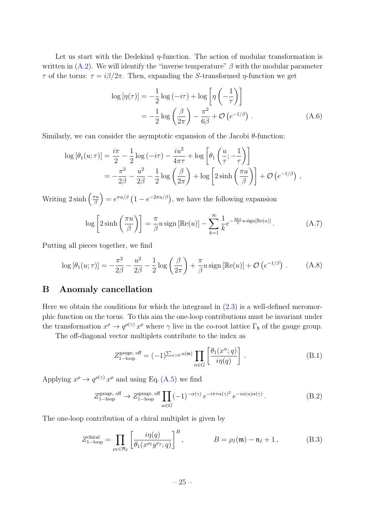Let us start with the Dedekind  $\eta$ -function. The action of modular transformation is written in  $(A.2)$ . We will identify the "inverse temperature"  $\beta$  with the modular parameter τ of the torus: τ = iβ/2π. Then, expanding the S-transformed η-function we get

<span id="page-25-1"></span>
$$
\log\left[\eta(\tau)\right] = -\frac{1}{2}\log\left(-i\tau\right) + \log\left[\eta\left(-\frac{1}{\tau}\right)\right]
$$

$$
= -\frac{1}{2}\log\left(\frac{\beta}{2\pi}\right) - \frac{\pi^2}{6\beta} + \mathcal{O}\left(e^{-1/\beta}\right). \tag{A.6}
$$

Similarly, we can consider the asymptotic expansion of the Jacobi  $\theta$ -function:

$$
\log [\theta_1(u;\tau)] = \frac{i\pi}{2} - \frac{1}{2}\log(-i\tau) - \frac{iu^2}{4\pi\tau} + \log\left[\theta_1\left(\frac{u}{\tau}; -\frac{1}{\tau}\right)\right]
$$
  
= 
$$
-\frac{\pi^2}{2\beta} - \frac{u^2}{2\beta} - \frac{1}{2}\log\left(\frac{\beta}{2\pi}\right) + \log\left[2\sinh\left(\frac{\pi u}{\beta}\right)\right] + \mathcal{O}\left(e^{-1/\beta}\right),
$$

Writing  $2\sinh\left(\frac{\pi u}{\beta}\right)$  $\left(\frac{\pi u}{\beta}\right) = e^{\pi u/\beta} \left(1 - e^{-2\pi u/\beta}\right)$ , we have the following expansion

$$
\log\left[2\sinh\left(\frac{\pi u}{\beta}\right)\right] = \frac{\pi}{\beta}u\operatorname{sign}\left[\mathbb{Re}(u)\right] - \sum_{k=1}^{\infty}\frac{1}{k}e^{-\frac{2k\pi}{\beta}u\operatorname{sign}\left[\mathbb{Re}(u)\right]}\,. \tag{A.7}
$$

Putting all pieces together, we find

<span id="page-25-2"></span>
$$
\log\left[\theta_1(u;\tau)\right] = -\frac{\pi^2}{2\beta} - \frac{u^2}{2\beta} - \frac{1}{2}\log\left(\frac{\beta}{2\pi}\right) + \frac{\pi}{\beta}u\operatorname{sign}\left[\mathbb{Re}(u)\right] + \mathcal{O}\left(e^{-1/\beta}\right) \,. \tag{A.8}
$$

## <span id="page-25-0"></span>B Anomaly cancellation

Here we obtain the conditions for which the integrand in  $(2.3)$  is a well-defined meromorphic function on the torus. To this aim the one-loop contributions must be invariant under the transformation  $x^{\rho} \to q^{\rho(\gamma)} x^{\rho}$  where  $\gamma$  live in the co-root lattice  $\Gamma_{\mathfrak{h}}$  of the gauge group.

The off-diagonal vector multiplets contribute to the index as

$$
Z_{1-\text{loop}}^{\text{gauge, off}} = (-1)^{\sum_{\alpha>0} \alpha(\mathfrak{m})} \prod_{\alpha \in G} \left[ \frac{\theta_1(x^{\alpha}; q)}{i \eta(q)} \right]. \tag{B.1}
$$

Applying  $x^{\rho} \to q^{\rho(\gamma)} x^{\rho}$  and using Eq. [\(A.5\)](#page-24-2) we find

$$
Z_{1-\text{loop}}^{\text{gauge, off}} \to Z_{1-\text{loop}}^{\text{gauge, off}} \prod_{\alpha \in G} (-1)^{-\alpha(\gamma)} e^{-i\pi \tau \alpha(\gamma)^2} e^{-i\alpha(u)\alpha(\gamma)}.
$$
 (B.2)

The one-loop contribution of a chiral multiplet is given by

$$
Z_{1-\text{loop}}^{\text{chiral}} = \prod_{\rho_I \in \mathfrak{R}_I} \left[ \frac{i\eta(q)}{\theta_1(x^{\rho_I}y^{\nu_I};q)} \right]^B, \qquad B = \rho_I(\mathfrak{m}) - \mathfrak{n}_I + 1, \qquad (B.3)
$$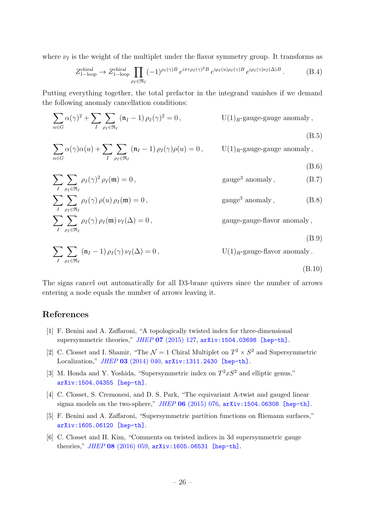where  $\nu_I$  is the weight of the multiplet under the flavor symmetry group. It transforms as

$$
Z_{1-\text{loop}}^{\text{chiral}} \to Z_{1-\text{loop}}^{\text{chiral}} \prod_{\rho_I \in \mathfrak{R}_I} (-1)^{\rho_I(\gamma)B} e^{i\pi \tau \rho_I(\gamma)^2 B} e^{i\rho_I(u)\rho_I(\gamma)B} e^{i\rho_I(\gamma)\nu_I(\Delta)B}.
$$
 (B.4)

Putting everything together, the total prefactor in the integrand vanishes if we demand the following anomaly cancellation conditions:

$$
\sum_{\alpha \in G} \alpha(\gamma)^2 + \sum_{I} \sum_{\rho_I \in \mathfrak{R}_I} (\mathfrak{n}_I - 1) \rho_I(\gamma)^2 = 0, \qquad \text{U}(1)_R\text{-gauge-gauge anomaly},
$$
\n(B.5)

$$
\sum_{\alpha \in G} \alpha(\gamma) \alpha(u) + \sum_{I} \sum_{\rho_I \in \mathfrak{R}_I} (\mathfrak{n}_I - 1) \rho_I(\gamma) \rho(u) = 0, \quad U(1)_R\text{-gauge-gauge anomaly},
$$

$$
\sum_{I} \sum_{\rho_I \in \mathfrak{R}_I} \rho_I(\gamma)^2 \rho_I(\mathfrak{m}) = 0, \qquad \text{gauge}^3 \text{ anomaly}, \qquad (B.7)
$$

$$
\sum_{I} \sum_{\rho_I \in \mathfrak{R}_I} \rho_I(\gamma) \rho(u) \rho_I(\mathfrak{m}) = 0, \qquad \text{gauge}^3 \text{ anomaly}, \qquad (B.8)
$$
  

$$
\sum_{I} \sum_{I} \rho_I(\gamma) \rho_I(\mathfrak{m}) \nu_I(\Delta) = 0, \qquad \text{gauge-gauge-flavor anomaly},
$$

$$
I \quad \rho_I \in \mathfrak{R}_I
$$

$$
(B.9)
$$

(B.6)

(B.10)

$$
\sum_{I} \sum_{\rho_I \in \mathfrak{R}_I} (\mathfrak{n}_I - 1) \rho_I(\gamma) \nu_I(\Delta) = 0, \qquad U(1)_R\text{-gauge-flavor anomaly}.
$$

The signs cancel out automatically for all D3-brane quivers since the number of arrows entering a node equals the number of arrows leaving it.

# References

- <span id="page-26-0"></span>[1] F. Benini and A. Zaffaroni, "A topologically twisted index for three-dimensional supersymmetric theories," JHEP 07 [\(2015\) 127,](http://dx.doi.org/10.1007/JHEP07(2015)127) [arXiv:1504.03698 \[hep-th\]](http://arxiv.org/abs/1504.03698).
- [2] C. Closset and I. Shamir, "The  $\mathcal{N}=1$  Chiral Multiplet on  $T^2 \times S^2$  and Supersymmetric Localization," JHEP 03 [\(2014\) 040,](http://dx.doi.org/10.1007/JHEP03(2014)040) [arXiv:1311.2430 \[hep-th\]](http://arxiv.org/abs/1311.2430).
- [3] M. Honda and Y. Yoshida, "Supersymmetric index on  $T^2xS^2$  and elliptic genus," [arXiv:1504.04355 \[hep-th\]](http://arxiv.org/abs/1504.04355).
- [4] C. Closset, S. Cremonesi, and D. S. Park, "The equivariant A-twist and gauged linear sigma models on the two-sphere,"  $JHEP$  06 [\(2015\) 076,](http://dx.doi.org/10.1007/JHEP06(2015)076)  $arXiv:1504.06308$  [hep-th].
- <span id="page-26-2"></span>[5] F. Benini and A. Zaffaroni, "Supersymmetric partition functions on Riemann surfaces," [arXiv:1605.06120 \[hep-th\]](http://arxiv.org/abs/1605.06120).
- <span id="page-26-1"></span>[6] C. Closset and H. Kim, "Comments on twisted indices in 3d supersymmetric gauge theories," JHEP 08 [\(2016\) 059,](http://dx.doi.org/10.1007/JHEP08(2016)059) [arXiv:1605.06531 \[hep-th\]](http://arxiv.org/abs/1605.06531).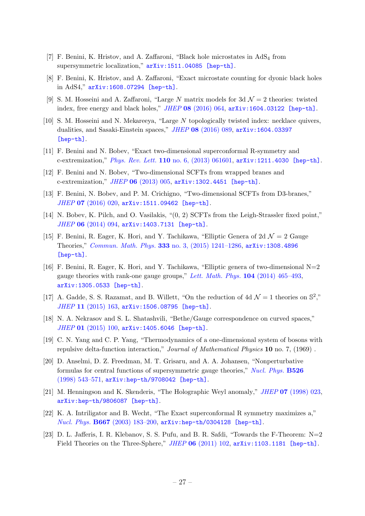- <span id="page-27-0"></span>[7] F. Benini, K. Hristov, and A. Zaffaroni, "Black hole microstates in  $AdS_4$  from supersymmetric localization,"  $arXiv:1511.04085$  [hep-th].
- <span id="page-27-1"></span>[8] F. Benini, K. Hristov, and A. Zaffaroni, "Exact microstate counting for dyonic black holes in AdS4," [arXiv:1608.07294 \[hep-th\]](http://arxiv.org/abs/1608.07294).
- <span id="page-27-2"></span>[9] S. M. Hosseini and A. Zaffaroni, "Large N matrix models for 3d  $\mathcal{N}=2$  theories: twisted index, free energy and black holes," JHEP 08 [\(2016\) 064,](http://dx.doi.org/10.1007/JHEP08(2016)064) [arXiv:1604.03122 \[hep-th\]](http://arxiv.org/abs/1604.03122).
- <span id="page-27-3"></span>[10] S. M. Hosseini and N. Mekareeya, "Large N topologically twisted index: necklace quivers, dualities, and Sasaki-Einstein spaces," JHEP 08 [\(2016\) 089,](http://dx.doi.org/10.1007/JHEP08(2016)089) [arXiv:1604.03397](http://arxiv.org/abs/1604.03397) [\[hep-th\]](http://arxiv.org/abs/1604.03397).
- <span id="page-27-4"></span>[11] F. Benini and N. Bobev, "Exact two-dimensional superconformal R-symmetry and c-extremization," Phys. Rev. Lett. 110 [no. 6, \(2013\) 061601,](http://dx.doi.org/10.1103/PhysRevLett.110.061601) [arXiv:1211.4030 \[hep-th\]](http://arxiv.org/abs/1211.4030).
- <span id="page-27-13"></span>[12] F. Benini and N. Bobev, "Two-dimensional SCFTs from wrapped branes and c-extremization," JHEP 06 [\(2013\) 005,](http://dx.doi.org/10.1007/JHEP06(2013)005) [arXiv:1302.4451 \[hep-th\]](http://arxiv.org/abs/1302.4451).
- <span id="page-27-5"></span>[13] F. Benini, N. Bobev, and P. M. Crichigno, "Two-dimensional SCFTs from D3-branes," JHEP 07 [\(2016\) 020,](http://dx.doi.org/10.1007/JHEP07(2016)020) [arXiv:1511.09462 \[hep-th\]](http://arxiv.org/abs/1511.09462).
- <span id="page-27-6"></span>[14] N. Bobev, K. Pilch, and O. Vasilakis, "(0, 2) SCFTs from the Leigh-Strassler fixed point," JHEP 06 [\(2014\) 094,](http://dx.doi.org/10.1007/JHEP06(2014)094) [arXiv:1403.7131 \[hep-th\]](http://arxiv.org/abs/1403.7131).
- <span id="page-27-7"></span>[15] F. Benini, R. Eager, K. Hori, and Y. Tachikawa, "Elliptic Genera of 2d  $\mathcal{N}=2$  Gauge Theories," Commun. Math. Phys. 333 [no. 3, \(2015\) 1241–1286,](http://dx.doi.org/10.1007/s00220-014-2210-y) [arXiv:1308.4896](http://arxiv.org/abs/1308.4896) [\[hep-th\]](http://arxiv.org/abs/1308.4896).
- <span id="page-27-8"></span>[16] F. Benini, R. Eager, K. Hori, and Y. Tachikawa, "Elliptic genera of two-dimensional  $N=2$ gauge theories with rank-one gauge groups," [Lett. Math. Phys.](http://dx.doi.org/10.1007/s11005-013-0673-y)  $104$  (2014) 465–493, [arXiv:1305.0533 \[hep-th\]](http://arxiv.org/abs/1305.0533).
- <span id="page-27-9"></span>[17] A. Gadde, S. S. Razamat, and B. Willett, "On the reduction of 4d  $\mathcal{N}=1$  theories on  $\mathbb{S}^2$ ," JHEP 11 [\(2015\) 163,](http://dx.doi.org/10.1007/JHEP11(2015)163) [arXiv:1506.08795 \[hep-th\]](http://arxiv.org/abs/1506.08795).
- <span id="page-27-10"></span>[18] N. A. Nekrasov and S. L. Shatashvili, "Bethe/Gauge correspondence on curved spaces," JHEP 01 [\(2015\) 100,](http://dx.doi.org/10.1007/JHEP01(2015)100) [arXiv:1405.6046 \[hep-th\]](http://arxiv.org/abs/1405.6046).
- <span id="page-27-11"></span>[19] C. N. Yang and C. P. Yang, "Thermodynamics of a one-dimensional system of bosons with repulsive delta-function interaction," Journal of Mathematical Physics 10 no. 7, (1969) .
- <span id="page-27-12"></span>[20] D. Anselmi, D. Z. Freedman, M. T. Grisaru, and A. A. Johansen, "Nonperturbative formulas for central functions of supersymmetric gauge theories," [Nucl. Phys.](http://dx.doi.org/10.1016/S0550-3213(98)00278-8) B526 [\(1998\) 543–571,](http://dx.doi.org/10.1016/S0550-3213(98)00278-8) [arXiv:hep-th/9708042 \[hep-th\]](http://arxiv.org/abs/hep-th/9708042).
- <span id="page-27-14"></span>[21] M. Henningson and K. Skenderis, "The Holographic Weyl anomaly," *JHEP* 07 [\(1998\) 023,](http://dx.doi.org/10.1088/1126-6708/1998/07/023) [arXiv:hep-th/9806087 \[hep-th\]](http://arxiv.org/abs/hep-th/9806087).
- <span id="page-27-15"></span>[22] K. A. Intriligator and B. Wecht, "The Exact superconformal R symmetry maximizes a," Nucl. Phys. B667 [\(2003\) 183–200,](http://dx.doi.org/10.1016/S0550-3213(03)00459-0) [arXiv:hep-th/0304128 \[hep-th\]](http://arxiv.org/abs/hep-th/0304128).
- <span id="page-27-16"></span>[23] D. L. Jafferis, I. R. Klebanov, S. S. Pufu, and B. R. Safdi, "Towards the F-Theorem: N=2 Field Theories on the Three-Sphere," JHEP 06 [\(2011\) 102,](http://dx.doi.org/10.1007/JHEP06(2011)102) [arXiv:1103.1181 \[hep-th\]](http://arxiv.org/abs/1103.1181).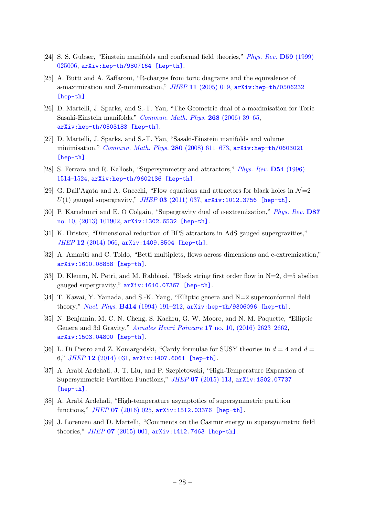- [24] S. S. Gubser, "Einstein manifolds and conformal field theories," *[Phys. Rev.](http://dx.doi.org/10.1103/PhysRevD.59.025006)* **D59** (1999) [025006,](http://dx.doi.org/10.1103/PhysRevD.59.025006) [arXiv:hep-th/9807164 \[hep-th\]](http://arxiv.org/abs/hep-th/9807164).
- [25] A. Butti and A. Zaffaroni, "R-charges from toric diagrams and the equivalence of a-maximization and Z-minimization,"  $JHEP$  11 [\(2005\) 019,](http://dx.doi.org/10.1088/1126-6708/2005/11/019)  $arXiv:hep-th/0506232$ [\[hep-th\]](http://arxiv.org/abs/hep-th/0506232).
- [26] D. Martelli, J. Sparks, and S.-T. Yau, "The Geometric dual of a-maximisation for Toric Sasaki-Einstein manifolds," [Commun. Math. Phys.](http://dx.doi.org/10.1007/s00220-006-0087-0) 268 (2006) 39–65, [arXiv:hep-th/0503183 \[hep-th\]](http://arxiv.org/abs/hep-th/0503183).
- <span id="page-28-0"></span>[27] D. Martelli, J. Sparks, and S.-T. Yau, "Sasaki-Einstein manifolds and volume minimisation," [Commun. Math. Phys.](http://dx.doi.org/10.1007/s00220-008-0479-4) 280 (2008) 611–673,  $arXiv:hep-th/0603021$ [\[hep-th\]](http://arxiv.org/abs/hep-th/0603021).
- <span id="page-28-1"></span>[28] S. Ferrara and R. Kallosh, "Supersymmetry and attractors," [Phys. Rev.](http://dx.doi.org/10.1103/PhysRevD.54.1514) D54 (1996) [1514–1524,](http://dx.doi.org/10.1103/PhysRevD.54.1514) [arXiv:hep-th/9602136 \[hep-th\]](http://arxiv.org/abs/hep-th/9602136).
- [29] G. Dall'Agata and A. Gnecchi, "Flow equations and attractors for black holes in  $\mathcal{N}=2$  $U(1)$  gauged supergravity," JHEP 03 [\(2011\) 037,](http://dx.doi.org/10.1007/JHEP03(2011)037)  $arXiv:1012.3756$  [hep-th].
- [30] P. Karndumri and E. O Colgain, "Supergravity dual of c-extremization," [Phys. Rev.](http://dx.doi.org/10.1103/PhysRevD.87.101902) D87 [no. 10, \(2013\) 101902,](http://dx.doi.org/10.1103/PhysRevD.87.101902) [arXiv:1302.6532 \[hep-th\]](http://arxiv.org/abs/1302.6532).
- [31] K. Hristov, "Dimensional reduction of BPS attractors in AdS gauged supergravities," JHEP 12 [\(2014\) 066,](http://dx.doi.org/10.1007/JHEP12(2014)066) [arXiv:1409.8504 \[hep-th\]](http://arxiv.org/abs/1409.8504).
- [32] A. Amariti and C. Toldo, "Betti multiplets, flows across dimensions and c-extremization," [arXiv:1610.08858 \[hep-th\]](http://arxiv.org/abs/1610.08858).
- <span id="page-28-2"></span>[33] D. Klemm, N. Petri, and M. Rabbiosi, "Black string first order flow in N=2, d=5 abelian gauged supergravity," [arXiv:1610.07367 \[hep-th\]](http://arxiv.org/abs/1610.07367).
- <span id="page-28-3"></span>[34] T. Kawai, Y. Yamada, and S.-K. Yang, "Elliptic genera and N=2 superconformal field theory," Nucl. Phys. B414 [\(1994\) 191–212,](http://dx.doi.org/10.1016/0550-3213(94)90428-6) [arXiv:hep-th/9306096 \[hep-th\]](http://arxiv.org/abs/hep-th/9306096).
- <span id="page-28-4"></span>[35] N. Benjamin, M. C. N. Cheng, S. Kachru, G. W. Moore, and N. M. Paquette, "Elliptic Genera and 3d Gravity," Annales Henri Poincare 17 [no. 10, \(2016\) 2623–2662,](http://dx.doi.org/10.1007/s00023-016-0469-6) [arXiv:1503.04800 \[hep-th\]](http://arxiv.org/abs/1503.04800).
- <span id="page-28-5"></span>[36] L. Di Pietro and Z. Komargodski, "Cardy formulae for SUSY theories in  $d = 4$  and  $d =$ 6," JHEP 12 [\(2014\) 031,](http://dx.doi.org/10.1007/JHEP12(2014)031) [arXiv:1407.6061 \[hep-th\]](http://arxiv.org/abs/1407.6061).
- [37] A. Arabi Ardehali, J. T. Liu, and P. Szepietowski, "High-Temperature Expansion of Supersymmetric Partition Functions," JHEP 07 [\(2015\) 113,](http://dx.doi.org/10.1007/JHEP07(2015)113) [arXiv:1502.07737](http://arxiv.org/abs/1502.07737) [\[hep-th\]](http://arxiv.org/abs/1502.07737).
- [38] A. Arabi Ardehali, "High-temperature asymptotics of supersymmetric partition functions," JHEP 07 [\(2016\) 025,](http://dx.doi.org/10.1007/JHEP07(2016)025) [arXiv:1512.03376 \[hep-th\]](http://arxiv.org/abs/1512.03376).
- [39] J. Lorenzen and D. Martelli, "Comments on the Casimir energy in supersymmetric field theories," JHEP 07 [\(2015\) 001,](http://dx.doi.org/10.1007/JHEP07(2015)001) [arXiv:1412.7463 \[hep-th\]](http://arxiv.org/abs/1412.7463).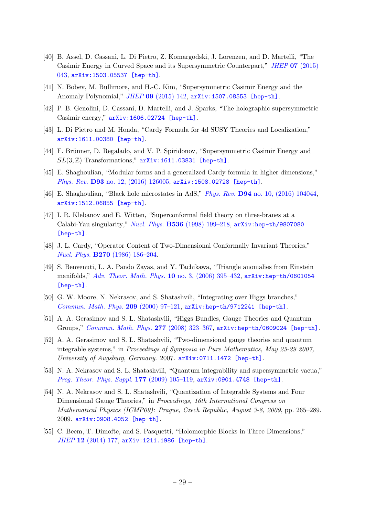- [40] B. Assel, D. Cassani, L. Di Pietro, Z. Komargodski, J. Lorenzen, and D. Martelli, "The Casimir Energy in Curved Space and its Supersymmetric Counterpart," JHEP 07 [\(2015\)](http://dx.doi.org/10.1007/JHEP07(2015)043) [043,](http://dx.doi.org/10.1007/JHEP07(2015)043) [arXiv:1503.05537 \[hep-th\]](http://arxiv.org/abs/1503.05537).
- <span id="page-29-1"></span>[41] N. Bobev, M. Bullimore, and H.-C. Kim, "Supersymmetric Casimir Energy and the Anomaly Polynomial," JHEP 09 [\(2015\) 142,](http://dx.doi.org/10.1007/JHEP09(2015)142) [arXiv:1507.08553 \[hep-th\]](http://arxiv.org/abs/1507.08553).
- [42] P. B. Genolini, D. Cassani, D. Martelli, and J. Sparks, "The holographic supersymmetric Casimir energy," [arXiv:1606.02724 \[hep-th\]](http://arxiv.org/abs/1606.02724).
- [43] L. Di Pietro and M. Honda, "Cardy Formula for 4d SUSY Theories and Localization," [arXiv:1611.00380 \[hep-th\]](http://arxiv.org/abs/1611.00380).
- [44] F. Brünner, D. Regalado, and V. P. Spiridonov, "Supersymmetric Casimir Energy and  $SL(3, \mathbb{Z})$  Transformations,"  $arXiv:1611.03831$  [hep-th].
- [45] E. Shaghoulian, "Modular forms and a generalized Cardy formula in higher dimensions," Phys. Rev. D93 [no. 12, \(2016\) 126005,](http://dx.doi.org/10.1103/PhysRevD.93.126005) [arXiv:1508.02728 \[hep-th\]](http://arxiv.org/abs/1508.02728).
- <span id="page-29-0"></span>[46] E. Shaghoulian, "Black hole microstates in AdS," Phys. Rev. D94 [no. 10, \(2016\) 104044,](http://dx.doi.org/10.1103/PhysRevD.94.104044) [arXiv:1512.06855 \[hep-th\]](http://arxiv.org/abs/1512.06855).
- <span id="page-29-2"></span>[47] I. R. Klebanov and E. Witten, "Superconformal field theory on three-branes at a Calabi-Yau singularity," Nucl. Phys. B536 [\(1998\) 199–218,](http://dx.doi.org/10.1016/S0550-3213(98)00654-3) [arXiv:hep-th/9807080](http://arxiv.org/abs/hep-th/9807080) [\[hep-th\]](http://arxiv.org/abs/hep-th/9807080).
- <span id="page-29-3"></span>[48] J. L. Cardy, "Operator Content of Two-Dimensional Conformally Invariant Theories," Nucl. Phys. B270 [\(1986\) 186–204.](http://dx.doi.org/10.1016/0550-3213(86)90552-3)
- <span id="page-29-4"></span>[49] S. Benvenuti, L. A. Pando Zayas, and Y. Tachikawa, "Triangle anomalies from Einstein manifolds," [Adv. Theor. Math. Phys.](http://dx.doi.org/10.4310/ATMP.2006.v10.n3.a4) 10 no. 3,  $(2006)$  395–432, [arXiv:hep-th/0601054](http://arxiv.org/abs/hep-th/0601054) [\[hep-th\]](http://arxiv.org/abs/hep-th/0601054).
- <span id="page-29-5"></span>[50] G. W. Moore, N. Nekrasov, and S. Shatashvili, "Integrating over Higgs branches," [Commun. Math. Phys.](http://dx.doi.org/10.1007/PL00005525) 209 (2000) 97–121, [arXiv:hep-th/9712241 \[hep-th\]](http://arxiv.org/abs/hep-th/9712241).
- [51] A. A. Gerasimov and S. L. Shatashvili, "Higgs Bundles, Gauge Theories and Quantum Groups," [Commun. Math. Phys.](http://dx.doi.org/10.1007/s00220-007-0369-1) 277 (2008) 323–367, [arXiv:hep-th/0609024 \[hep-th\]](http://arxiv.org/abs/hep-th/0609024).
- [52] A. A. Gerasimov and S. L. Shatashvili, "Two-dimensional gauge theories and quantum integrable systems," in Proceedings of Symposia in Pure Mathematics, May 25-29 2007, University of Augsburg, Germany. 2007. [arXiv:0711.1472 \[hep-th\]](http://arxiv.org/abs/0711.1472).
- [53] N. A. Nekrasov and S. L. Shatashvili, "Quantum integrability and supersymmetric vacua," [Prog. Theor. Phys. Suppl.](http://dx.doi.org/10.1143/PTPS.177.105) 177 (2009) 105–119, [arXiv:0901.4748 \[hep-th\]](http://arxiv.org/abs/0901.4748).
- <span id="page-29-6"></span>[54] N. A. Nekrasov and S. L. Shatashvili, "Quantization of Integrable Systems and Four Dimensional Gauge Theories," in Proceedings, 16th International Congress on Mathematical Physics (ICMP09): Prague, Czech Republic, August 3-8, 2009, pp. 265–289. 2009. [arXiv:0908.4052 \[hep-th\]](http://arxiv.org/abs/0908.4052).
- <span id="page-29-7"></span>[55] C. Beem, T. Dimofte, and S. Pasquetti, "Holomorphic Blocks in Three Dimensions," JHEP 12 [\(2014\) 177,](http://dx.doi.org/10.1007/JHEP12(2014)177) [arXiv:1211.1986 \[hep-th\]](http://arxiv.org/abs/1211.1986).